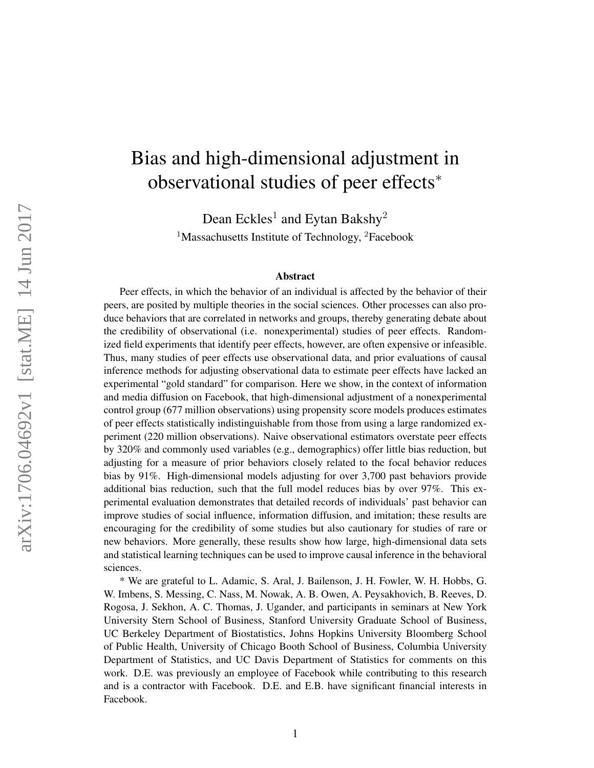# Bias and high-dimensional adjustment in observational studies of peer effects<sup>∗</sup>

Dean Eckles<sup>1</sup> and Eytan Bakshy<sup>2</sup> <sup>1</sup>Massachusetts Institute of Technology, <sup>2</sup>Facebook

#### Abstract

Peer effects, in which the behavior of an individual is affected by the behavior of their peers, are posited by multiple theories in the social sciences. Other processes can also produce behaviors that are correlated in networks and groups, thereby generating debate about the credibility of observational (i.e. nonexperimental) studies of peer effects. Randomized field experiments that identify peer effects, however, are often expensive or infeasible. Thus, many studies of peer effects use observational data, and prior evaluations of causal inference methods for adjusting observational data to estimate peer effects have lacked an experimental "gold standard" for comparison. Here we show, in the context of information and media diffusion on Facebook, that high-dimensional adjustment of a nonexperimental control group (677 million observations) using propensity score models produces estimates of peer effects statistically indistinguishable from those from using a large randomized experiment (220 million observations). Naive observational estimators overstate peer effects by 320% and commonly used variables (e.g., demographics) offer little bias reduction, but adjusting for a measure of prior behaviors closely related to the focal behavior reduces bias by 91%. High-dimensional models adjusting for over 3,700 past behaviors provide additional bias reduction, such that the full model reduces bias by over 97%. This experimental evaluation demonstrates that detailed records of individuals' past behavior can improve studies of social influence, information diffusion, and imitation; these results are encouraging for the credibility of some studies but also cautionary for studies of rare or new behaviors. More generally, these results show how large, high-dimensional data sets and statistical learning techniques can be used to improve causal inference in the behavioral sciences.

\* We are grateful to L. Adamic, S. Aral, J. Bailenson, J. H. Fowler, W. H. Hobbs, G. W. Imbens, S. Messing, C. Nass, M. Nowak, A. B. Owen, A. Peysakhovich, B. Reeves, D. Rogosa, J. Sekhon, A. C. Thomas, J. Ugander, and participants in seminars at New York University Stern School of Business, Stanford University Graduate School of Business, UC Berkeley Department of Biostatistics, Johns Hopkins University Bloomberg School of Public Health, University of Chicago Booth School of Business, Columbia University Department of Statistics, and UC Davis Department of Statistics for comments on this work. D.E. was previously an employee of Facebook while contributing to this research and is a contractor with Facebook. D.E. and E.B. have significant financial interests in Facebook.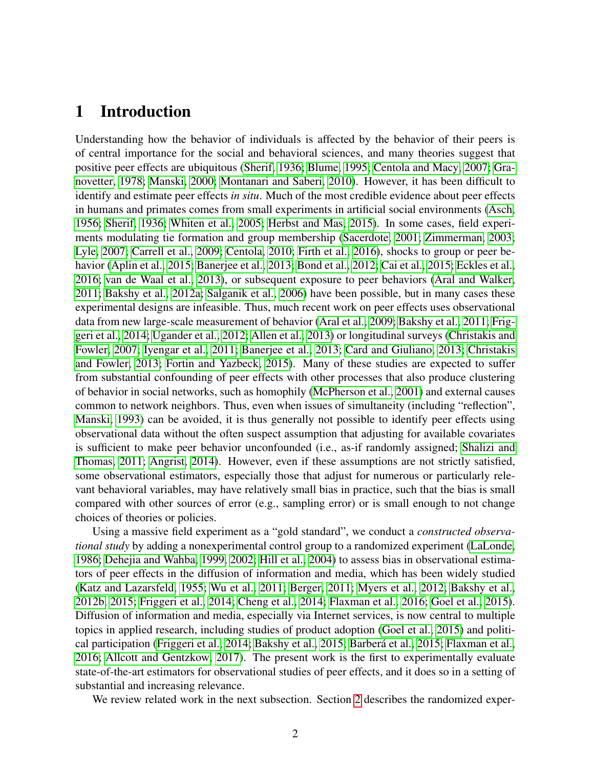# 1 Introduction

Understanding how the behavior of individuals is affected by the behavior of their peers is of central importance for the social and behavioral sciences, and many theories suggest that positive peer effects are ubiquitous [\(Sherif, 1936;](#page-23-0) [Blume, 1995;](#page-19-0) [Centola and Macy, 2007;](#page-19-1) [Gra](#page-20-0)[novetter, 1978;](#page-20-0) [Manski, 2000;](#page-22-0) [Montanari and Saberi, 2010\)](#page-22-1). However, it has been difficult to identify and estimate peer effects *in situ*. Much of the most credible evidence about peer effects in humans and primates comes from small experiments in artificial social environments [\(Asch,](#page-18-0) [1956;](#page-18-0) [Sherif, 1936;](#page-23-0) [Whiten et al., 2005;](#page-23-1) [Herbst and Mas, 2015\)](#page-21-0). In some cases, field experiments modulating tie formation and group membership [\(Sacerdote, 2001;](#page-23-2) [Zimmerman, 2003;](#page-24-0) [Lyle, 2007;](#page-22-2) [Carrell et al., 2009;](#page-19-2) [Centola, 2010;](#page-19-3) [Firth et al., 2016\)](#page-20-1), shocks to group or peer behavior [\(Aplin et al., 2015;](#page-18-1) [Banerjee et al., 2013;](#page-18-2) [Bond et al., 2012;](#page-19-4) [Cai et al., 2015;](#page-19-5) [Eckles et al.,](#page-20-2) [2016;](#page-20-2) [van de Waal et al., 2013\)](#page-23-3), or subsequent exposure to peer behaviors [\(Aral and Walker,](#page-18-3) [2011;](#page-18-3) [Bakshy et al., 2012a;](#page-18-4) [Salganik et al., 2006\)](#page-23-4) have been possible, but in many cases these experimental designs are infeasible. Thus, much recent work on peer effects uses observational data from new large-scale measurement of behavior [\(Aral et al., 2009;](#page-18-5) [Bakshy et al., 2011;](#page-18-6) [Frig](#page-20-3)[geri et al., 2014;](#page-20-3) [Ugander et al., 2012;](#page-23-5) [Allen et al., 2013\)](#page-18-7) or longitudinal surveys [\(Christakis and](#page-19-6) [Fowler, 2007;](#page-19-6) [Iyengar et al., 2011;](#page-21-1) [Banerjee et al., 2013;](#page-18-2) [Card and Giuliano, 2013;](#page-19-7) [Christakis](#page-19-8) [and Fowler, 2013;](#page-19-8) [Fortin and Yazbeck, 2015\)](#page-20-4). Many of these studies are expected to suffer from substantial confounding of peer effects with other processes that also produce clustering of behavior in social networks, such as homophily [\(McPherson et al., 2001\)](#page-22-3) and external causes common to network neighbors. Thus, even when issues of simultaneity (including "reflection", [Manski, 1993\)](#page-22-4) can be avoided, it is thus generally not possible to identify peer effects using observational data without the often suspect assumption that adjusting for available covariates is sufficient to make peer behavior unconfounded (i.e., as-if randomly assigned; [Shalizi and](#page-23-6) [Thomas, 2011;](#page-23-6) [Angrist, 2014\)](#page-18-8). However, even if these assumptions are not strictly satisfied, some observational estimators, especially those that adjust for numerous or particularly relevant behavioral variables, may have relatively small bias in practice, such that the bias is small compared with other sources of error (e.g., sampling error) or is small enough to not change choices of theories or policies.

Using a massive field experiment as a "gold standard", we conduct a *constructed observational study* by adding a nonexperimental control group to a randomized experiment [\(LaLonde,](#page-22-5) [1986;](#page-22-5) [Dehejia and Wahba, 1999,](#page-20-5) [2002;](#page-20-6) [Hill et al., 2004\)](#page-21-2) to assess bias in observational estimators of peer effects in the diffusion of information and media, which has been widely studied [\(Katz and Lazarsfeld, 1955;](#page-21-3) [Wu et al., 2011;](#page-24-1) [Berger, 2011;](#page-19-9) [Myers et al., 2012;](#page-22-6) [Bakshy et al.,](#page-18-9) [2012b,](#page-18-9) [2015;](#page-18-10) [Friggeri et al., 2014;](#page-20-3) [Cheng et al., 2014;](#page-19-10) [Flaxman et al., 2016;](#page-20-7) [Goel et al., 2015\)](#page-20-8). Diffusion of information and media, especially via Internet services, is now central to multiple topics in applied research, including studies of product adoption [\(Goel et al., 2015\)](#page-20-8) and political participation [\(Friggeri et al., 2014;](#page-20-3) [Bakshy et al., 2015;](#page-18-10) [Barbera et al., 2015;](#page-19-11) [Flaxman et al.,](#page-20-7) ´ [2016;](#page-20-7) [Allcott and Gentzkow, 2017\)](#page-18-11). The present work is the first to experimentally evaluate state-of-the-art estimators for observational studies of peer effects, and it does so in a setting of substantial and increasing relevance.

We review related work in the next subsection. Section [2](#page-6-0) describes the randomized exper-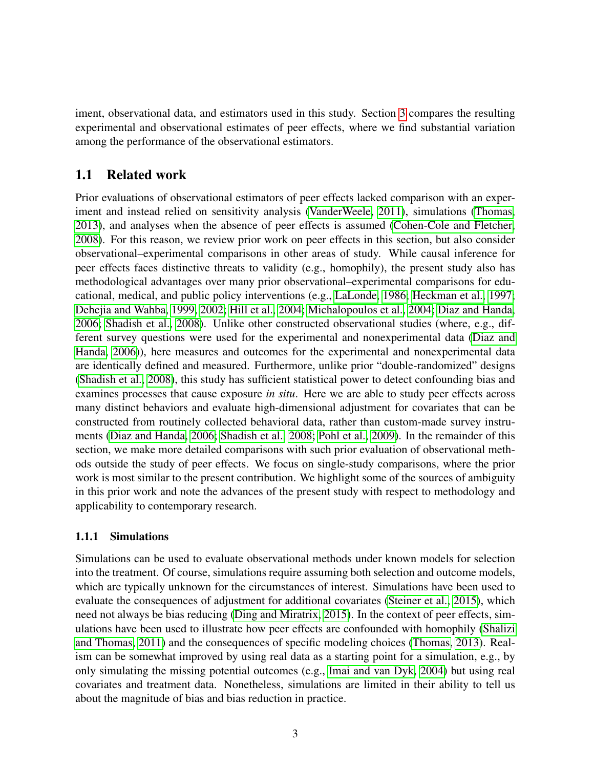iment, observational data, and estimators used in this study. Section [3](#page-11-0) compares the resulting experimental and observational estimates of peer effects, where we find substantial variation among the performance of the observational estimators.

## 1.1 Related work

Prior evaluations of observational estimators of peer effects lacked comparison with an experiment and instead relied on sensitivity analysis [\(VanderWeele, 2011\)](#page-23-7), simulations [\(Thomas,](#page-23-8) [2013\)](#page-23-8), and analyses when the absence of peer effects is assumed [\(Cohen-Cole and Fletcher,](#page-19-12) [2008\)](#page-19-12). For this reason, we review prior work on peer effects in this section, but also consider observational–experimental comparisons in other areas of study. While causal inference for peer effects faces distinctive threats to validity (e.g., homophily), the present study also has methodological advantages over many prior observational–experimental comparisons for educational, medical, and public policy interventions (e.g., [LaLonde, 1986;](#page-22-5) [Heckman et al., 1997;](#page-21-4) [Dehejia and Wahba, 1999,](#page-20-5) [2002;](#page-20-6) [Hill et al., 2004;](#page-21-2) [Michalopoulos et al., 2004;](#page-22-7) [Diaz and Handa,](#page-20-9) [2006;](#page-20-9) [Shadish et al., 2008\)](#page-23-9). Unlike other constructed observational studies (where, e.g., different survey questions were used for the experimental and nonexperimental data [\(Diaz and](#page-20-9) [Handa, 2006\)](#page-20-9)), here measures and outcomes for the experimental and nonexperimental data are identically defined and measured. Furthermore, unlike prior "double-randomized" designs [\(Shadish et al., 2008\)](#page-23-9), this study has sufficient statistical power to detect confounding bias and examines processes that cause exposure *in situ*. Here we are able to study peer effects across many distinct behaviors and evaluate high-dimensional adjustment for covariates that can be constructed from routinely collected behavioral data, rather than custom-made survey instruments [\(Diaz and Handa, 2006;](#page-20-9) [Shadish et al., 2008;](#page-23-9) [Pohl et al., 2009\)](#page-22-8). In the remainder of this section, we make more detailed comparisons with such prior evaluation of observational methods outside the study of peer effects. We focus on single-study comparisons, where the prior work is most similar to the present contribution. We highlight some of the sources of ambiguity in this prior work and note the advances of the present study with respect to methodology and applicability to contemporary research.

### 1.1.1 Simulations

Simulations can be used to evaluate observational methods under known models for selection into the treatment. Of course, simulations require assuming both selection and outcome models, which are typically unknown for the circumstances of interest. Simulations have been used to evaluate the consequences of adjustment for additional covariates [\(Steiner et al., 2015\)](#page-23-10), which need not always be bias reducing [\(Ding and Miratrix, 2015\)](#page-20-10). In the context of peer effects, simulations have been used to illustrate how peer effects are confounded with homophily [\(Shalizi](#page-23-6) [and Thomas, 2011\)](#page-23-6) and the consequences of specific modeling choices [\(Thomas, 2013\)](#page-23-8). Realism can be somewhat improved by using real data as a starting point for a simulation, e.g., by only simulating the missing potential outcomes (e.g., [Imai and van Dyk, 2004\)](#page-21-5) but using real covariates and treatment data. Nonetheless, simulations are limited in their ability to tell us about the magnitude of bias and bias reduction in practice.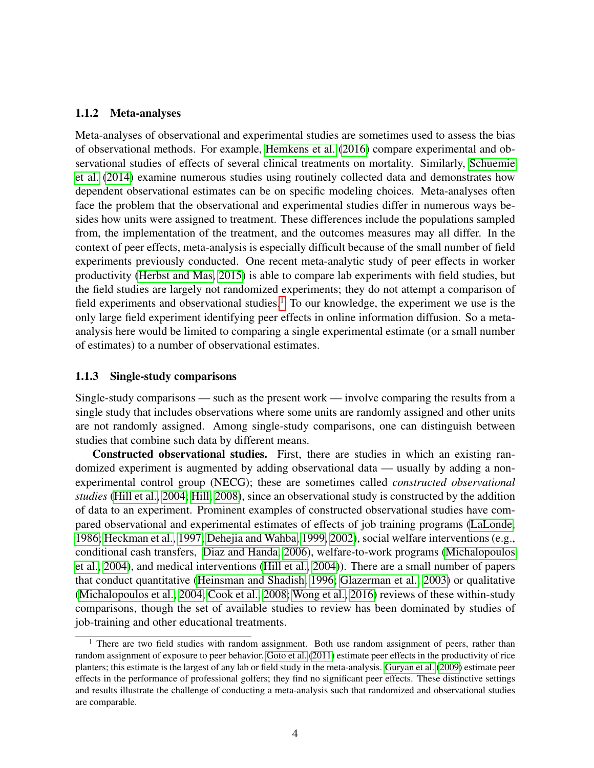#### 1.1.2 Meta-analyses

Meta-analyses of observational and experimental studies are sometimes used to assess the bias of observational methods. For example, [Hemkens et al.](#page-21-6) [\(2016\)](#page-21-6) compare experimental and observational studies of effects of several clinical treatments on mortality. Similarly, [Schuemie](#page-23-11) [et al.](#page-23-11) [\(2014\)](#page-23-11) examine numerous studies using routinely collected data and demonstrates how dependent observational estimates can be on specific modeling choices. Meta-analyses often face the problem that the observational and experimental studies differ in numerous ways besides how units were assigned to treatment. These differences include the populations sampled from, the implementation of the treatment, and the outcomes measures may all differ. In the context of peer effects, meta-analysis is especially difficult because of the small number of field experiments previously conducted. One recent meta-analytic study of peer effects in worker productivity [\(Herbst and Mas, 2015\)](#page-21-0) is able to compare lab experiments with field studies, but the field studies are largely not randomized experiments; they do not attempt a comparison of field experiments and observational studies.<sup>[1](#page-3-0)</sup> To our knowledge, the experiment we use is the only large field experiment identifying peer effects in online information diffusion. So a metaanalysis here would be limited to comparing a single experimental estimate (or a small number of estimates) to a number of observational estimates.

#### 1.1.3 Single-study comparisons

Single-study comparisons — such as the present work — involve comparing the results from a single study that includes observations where some units are randomly assigned and other units are not randomly assigned. Among single-study comparisons, one can distinguish between studies that combine such data by different means.

Constructed observational studies. First, there are studies in which an existing randomized experiment is augmented by adding observational data — usually by adding a nonexperimental control group (NECG); these are sometimes called *constructed observational studies* [\(Hill et al., 2004;](#page-21-2) [Hill, 2008\)](#page-21-7), since an observational study is constructed by the addition of data to an experiment. Prominent examples of constructed observational studies have compared observational and experimental estimates of effects of job training programs [\(LaLonde,](#page-22-5) [1986;](#page-22-5) [Heckman et al., 1997;](#page-21-4) [Dehejia and Wahba, 1999,](#page-20-5) [2002\)](#page-20-6), social welfare interventions (e.g., conditional cash transfers, [Diaz and Handa, 2006\)](#page-20-9), welfare-to-work programs [\(Michalopoulos](#page-22-7) [et al., 2004\)](#page-22-7), and medical interventions [\(Hill et al., 2004\)](#page-21-2)). There are a small number of papers that conduct quantitative [\(Heinsman and Shadish, 1996;](#page-21-8) [Glazerman et al., 2003\)](#page-20-11) or qualitative [\(Michalopoulos et al., 2004;](#page-22-7) [Cook et al., 2008;](#page-19-13) [Wong et al., 2016\)](#page-24-2) reviews of these within-study comparisons, though the set of available studies to review has been dominated by studies of job-training and other educational treatments.

<span id="page-3-0"></span><sup>&</sup>lt;sup>1</sup> There are two field studies with random assignment. Both use random assignment of peers, rather than random assignment of exposure to peer behavior. [Goto et al.](#page-20-12) [\(2011\)](#page-20-12) estimate peer effects in the productivity of rice planters; this estimate is the largest of any lab or field study in the meta-analysis. [Guryan et al.](#page-21-9) [\(2009\)](#page-21-9) estimate peer effects in the performance of professional golfers; they find no significant peer effects. These distinctive settings and results illustrate the challenge of conducting a meta-analysis such that randomized and observational studies are comparable.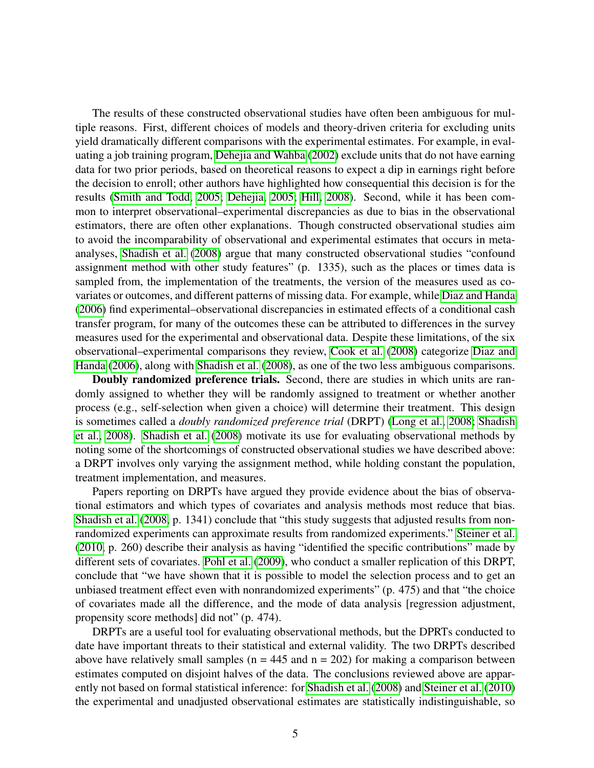The results of these constructed observational studies have often been ambiguous for multiple reasons. First, different choices of models and theory-driven criteria for excluding units yield dramatically different comparisons with the experimental estimates. For example, in evaluating a job training program, [Dehejia and Wahba](#page-20-6) [\(2002\)](#page-20-6) exclude units that do not have earning data for two prior periods, based on theoretical reasons to expect a dip in earnings right before the decision to enroll; other authors have highlighted how consequential this decision is for the results [\(Smith and Todd, 2005;](#page-23-12) [Dehejia, 2005;](#page-20-13) [Hill, 2008\)](#page-21-7). Second, while it has been common to interpret observational–experimental discrepancies as due to bias in the observational estimators, there are often other explanations. Though constructed observational studies aim to avoid the incomparability of observational and experimental estimates that occurs in metaanalyses, [Shadish et al.](#page-23-9) [\(2008\)](#page-23-9) argue that many constructed observational studies "confound assignment method with other study features" (p. 1335), such as the places or times data is sampled from, the implementation of the treatments, the version of the measures used as covariates or outcomes, and different patterns of missing data. For example, while [Diaz and Handa](#page-20-9) [\(2006\)](#page-20-9) find experimental–observational discrepancies in estimated effects of a conditional cash transfer program, for many of the outcomes these can be attributed to differences in the survey measures used for the experimental and observational data. Despite these limitations, of the six observational–experimental comparisons they review, [Cook et al.](#page-19-13) [\(2008\)](#page-19-13) categorize [Diaz and](#page-20-9) [Handa](#page-20-9) [\(2006\)](#page-20-9), along with [Shadish et al.](#page-23-9) [\(2008\)](#page-23-9), as one of the two less ambiguous comparisons.

Doubly randomized preference trials. Second, there are studies in which units are randomly assigned to whether they will be randomly assigned to treatment or whether another process (e.g., self-selection when given a choice) will determine their treatment. This design is sometimes called a *doubly randomized preference trial* (DRPT) [\(Long et al., 2008;](#page-22-9) [Shadish](#page-23-9) [et al., 2008\)](#page-23-9). [Shadish et al.](#page-23-9) [\(2008\)](#page-23-9) motivate its use for evaluating observational methods by noting some of the shortcomings of constructed observational studies we have described above: a DRPT involves only varying the assignment method, while holding constant the population, treatment implementation, and measures.

Papers reporting on DRPTs have argued they provide evidence about the bias of observational estimators and which types of covariates and analysis methods most reduce that bias. [Shadish et al.](#page-23-9) [\(2008,](#page-23-9) p. 1341) conclude that "this study suggests that adjusted results from nonrandomized experiments can approximate results from randomized experiments." [Steiner et al.](#page-23-13) [\(2010,](#page-23-13) p. 260) describe their analysis as having "identified the specific contributions" made by different sets of covariates. [Pohl et al.](#page-22-8) [\(2009\)](#page-22-8), who conduct a smaller replication of this DRPT, conclude that "we have shown that it is possible to model the selection process and to get an unbiased treatment effect even with nonrandomized experiments" (p. 475) and that "the choice of covariates made all the difference, and the mode of data analysis [regression adjustment, propensity score methods] did not" (p. 474).

DRPTs are a useful tool for evaluating observational methods, but the DPRTs conducted to date have important threats to their statistical and external validity. The two DRPTs described above have relatively small samples ( $n = 445$  and  $n = 202$ ) for making a comparison between estimates computed on disjoint halves of the data. The conclusions reviewed above are apparently not based on formal statistical inference: for [Shadish et al.](#page-23-9) [\(2008\)](#page-23-9) and [Steiner et al.](#page-23-13) [\(2010\)](#page-23-13) the experimental and unadjusted observational estimates are statistically indistinguishable, so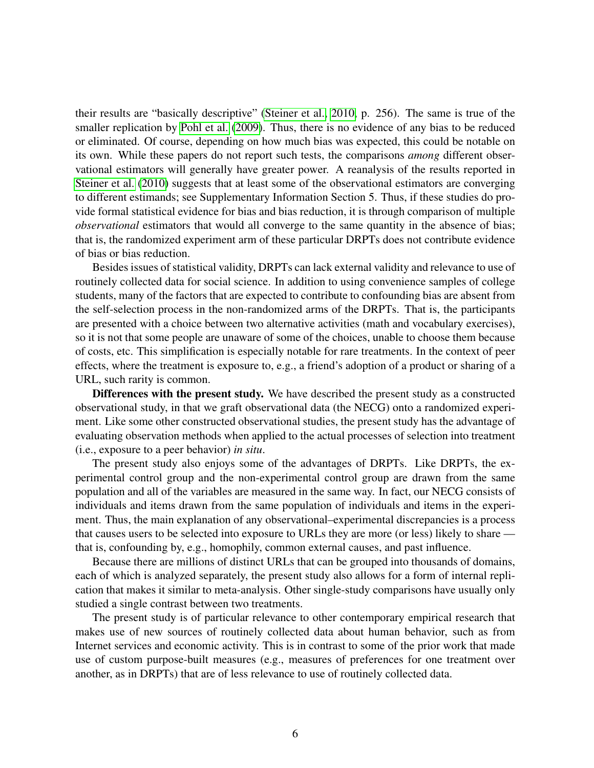their results are "basically descriptive" [\(Steiner et al., 2010,](#page-23-13) p. 256). The same is true of the smaller replication by [Pohl et al.](#page-22-8) [\(2009\)](#page-22-8). Thus, there is no evidence of any bias to be reduced or eliminated. Of course, depending on how much bias was expected, this could be notable on its own. While these papers do not report such tests, the comparisons *among* different observational estimators will generally have greater power. A reanalysis of the results reported in [Steiner et al.](#page-23-13) [\(2010\)](#page-23-13) suggests that at least some of the observational estimators are converging to different estimands; see Supplementary Information Section 5. Thus, if these studies do provide formal statistical evidence for bias and bias reduction, it is through comparison of multiple *observational* estimators that would all converge to the same quantity in the absence of bias; that is, the randomized experiment arm of these particular DRPTs does not contribute evidence of bias or bias reduction.

Besides issues of statistical validity, DRPTs can lack external validity and relevance to use of routinely collected data for social science. In addition to using convenience samples of college students, many of the factors that are expected to contribute to confounding bias are absent from the self-selection process in the non-randomized arms of the DRPTs. That is, the participants are presented with a choice between two alternative activities (math and vocabulary exercises), so it is not that some people are unaware of some of the choices, unable to choose them because of costs, etc. This simplification is especially notable for rare treatments. In the context of peer effects, where the treatment is exposure to, e.g., a friend's adoption of a product or sharing of a URL, such rarity is common.

Differences with the present study. We have described the present study as a constructed observational study, in that we graft observational data (the NECG) onto a randomized experiment. Like some other constructed observational studies, the present study has the advantage of evaluating observation methods when applied to the actual processes of selection into treatment (i.e., exposure to a peer behavior) *in situ*.

The present study also enjoys some of the advantages of DRPTs. Like DRPTs, the experimental control group and the non-experimental control group are drawn from the same population and all of the variables are measured in the same way. In fact, our NECG consists of individuals and items drawn from the same population of individuals and items in the experiment. Thus, the main explanation of any observational–experimental discrepancies is a process that causes users to be selected into exposure to URLs they are more (or less) likely to share that is, confounding by, e.g., homophily, common external causes, and past influence.

Because there are millions of distinct URLs that can be grouped into thousands of domains, each of which is analyzed separately, the present study also allows for a form of internal replication that makes it similar to meta-analysis. Other single-study comparisons have usually only studied a single contrast between two treatments.

The present study is of particular relevance to other contemporary empirical research that makes use of new sources of routinely collected data about human behavior, such as from Internet services and economic activity. This is in contrast to some of the prior work that made use of custom purpose-built measures (e.g., measures of preferences for one treatment over another, as in DRPTs) that are of less relevance to use of routinely collected data.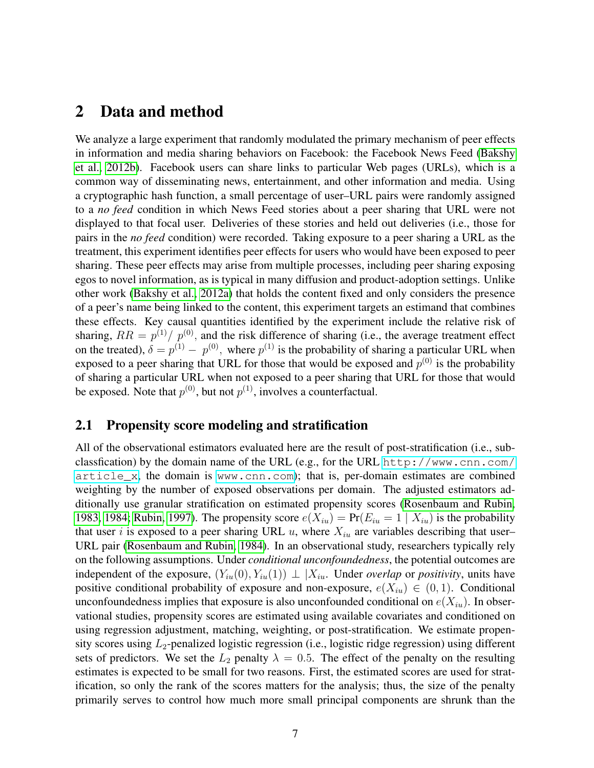# <span id="page-6-0"></span>2 Data and method

We analyze a large experiment that randomly modulated the primary mechanism of peer effects in information and media sharing behaviors on Facebook: the Facebook News Feed [\(Bakshy](#page-18-9) [et al., 2012b\)](#page-18-9). Facebook users can share links to particular Web pages (URLs), which is a common way of disseminating news, entertainment, and other information and media. Using a cryptographic hash function, a small percentage of user–URL pairs were randomly assigned to a *no feed* condition in which News Feed stories about a peer sharing that URL were not displayed to that focal user. Deliveries of these stories and held out deliveries (i.e., those for pairs in the *no feed* condition) were recorded. Taking exposure to a peer sharing a URL as the treatment, this experiment identifies peer effects for users who would have been exposed to peer sharing. These peer effects may arise from multiple processes, including peer sharing exposing egos to novel information, as is typical in many diffusion and product-adoption settings. Unlike other work [\(Bakshy et al., 2012a\)](#page-18-4) that holds the content fixed and only considers the presence of a peer's name being linked to the content, this experiment targets an estimand that combines these effects. Key causal quantities identified by the experiment include the relative risk of sharing,  $RR = p^{(1)}/p^{(0)}$ , and the risk difference of sharing (i.e., the average treatment effect on the treated),  $\delta = p^{(1)} - p^{(0)}$ , where  $p^{(1)}$  is the probability of sharing a particular URL when exposed to a peer sharing that URL for those that would be exposed and  $p^{(0)}$  is the probability of sharing a particular URL when not exposed to a peer sharing that URL for those that would be exposed. Note that  $p^{(0)}$ , but not  $p^{(1)}$ , involves a counterfactual.

### 2.1 Propensity score modeling and stratification

All of the observational estimators evaluated here are the result of post-stratification (i.e., subclassfication) by the domain name of the URL (e.g., for the URL [http://www.cnn.com/](http://www.cnn.com/article_x)  $\text{article}_x$ , the domain is <www.cnn.com>); that is, per-domain estimates are combined weighting by the number of exposed observations per domain. The adjusted estimators additionally use granular stratification on estimated propensity scores [\(Rosenbaum and Rubin,](#page-22-10) [1983,](#page-22-10) [1984;](#page-22-11) [Rubin, 1997\)](#page-23-14). The propensity score  $e(X_{iu}) = Pr(E_{iu} = 1 | X_{iu})$  is the probability that user i is exposed to a peer sharing URL  $u$ , where  $X_{iu}$  are variables describing that user-URL pair [\(Rosenbaum and Rubin, 1984\)](#page-22-11). In an observational study, researchers typically rely on the following assumptions. Under *conditional unconfoundedness*, the potential outcomes are independent of the exposure,  $(Y_{iu}(0), Y_{iu}(1)) \perp X_{iu}$ . Under *overlap* or *positivity*, units have positive conditional probability of exposure and non-exposure,  $e(X_{iu}) \in (0,1)$ . Conditional unconfoundedness implies that exposure is also unconfounded conditional on  $e(X_{iu})$ . In observational studies, propensity scores are estimated using available covariates and conditioned on using regression adjustment, matching, weighting, or post-stratification. We estimate propensity scores using  $L_2$ -penalized logistic regression (i.e., logistic ridge regression) using different sets of predictors. We set the  $L_2$  penalty  $\lambda = 0.5$ . The effect of the penalty on the resulting estimates is expected to be small for two reasons. First, the estimated scores are used for stratification, so only the rank of the scores matters for the analysis; thus, the size of the penalty primarily serves to control how much more small principal components are shrunk than the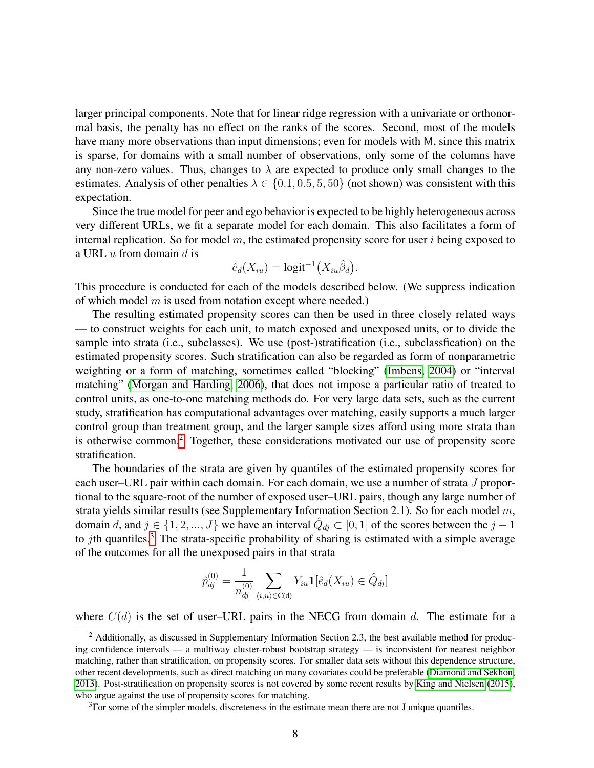larger principal components. Note that for linear ridge regression with a univariate or orthonormal basis, the penalty has no effect on the ranks of the scores. Second, most of the models have many more observations than input dimensions; even for models with M, since this matrix is sparse, for domains with a small number of observations, only some of the columns have any non-zero values. Thus, changes to  $\lambda$  are expected to produce only small changes to the estimates. Analysis of other penalties  $\lambda \in \{0.1, 0.5, 5, 50\}$  (not shown) was consistent with this expectation.

Since the true model for peer and ego behavior is expected to be highly heterogeneous across very different URLs, we fit a separate model for each domain. This also facilitates a form of internal replication. So for model  $m$ , the estimated propensity score for user i being exposed to a URL  $u$  from domain  $d$  is

$$
\hat{e}_d(X_{iu}) = \text{logit}^{-1}(X_{iu}\hat{\beta}_d).
$$

This procedure is conducted for each of the models described below. (We suppress indication of which model  $m$  is used from notation except where needed.)

The resulting estimated propensity scores can then be used in three closely related ways — to construct weights for each unit, to match exposed and unexposed units, or to divide the sample into strata (i.e., subclasses). We use (post-)stratification (i.e., subclassfication) on the estimated propensity scores. Such stratification can also be regarded as form of nonparametric weighting or a form of matching, sometimes called "blocking" [\(Imbens, 2004\)](#page-21-10) or "interval matching" [\(Morgan and Harding, 2006\)](#page-22-12), that does not impose a particular ratio of treated to control units, as one-to-one matching methods do. For very large data sets, such as the current study, stratification has computational advantages over matching, easily supports a much larger control group than treatment group, and the larger sample sizes afford using more strata than is otherwise common.[2](#page-7-0) Together, these considerations motivated our use of propensity score stratification.

The boundaries of the strata are given by quantiles of the estimated propensity scores for each user–URL pair within each domain. For each domain, we use a number of strata J proportional to the square-root of the number of exposed user–URL pairs, though any large number of strata yields similar results (see Supplementary Information Section 2.1). So for each model  $m$ , domain d, and  $j \in \{1, 2, ..., J\}$  we have an interval  $\hat{Q}_{dj} \subset [0, 1]$  of the scores between the  $j - 1$ to *j*th quantiles.<sup>[3](#page-7-1)</sup> The strata-specific probability of sharing is estimated with a simple average of the outcomes for all the unexposed pairs in that strata

$$
\hat{p}_{dj}^{(0)} = \frac{1}{n_{dj}^{(0)}} \sum_{\langle i, u \rangle \in \mathcal{C}(d)} Y_{iu} \mathbf{1} [\hat{e}_d(X_{iu}) \in \hat{Q}_{dj}]
$$

where  $C(d)$  is the set of user–URL pairs in the NECG from domain d. The estimate for a

<span id="page-7-1"></span><sup>3</sup>For some of the simpler models, discreteness in the estimate mean there are not J unique quantiles.

<span id="page-7-0"></span><sup>&</sup>lt;sup>2</sup> Additionally, as discussed in Supplementary Information Section 2.3, the best available method for producing confidence intervals — a multiway cluster-robust bootstrap strategy — is inconsistent for nearest neighbor matching, rather than stratification, on propensity scores. For smaller data sets without this dependence structure, other recent developments, such as direct matching on many covariates could be preferable [\(Diamond and Sekhon,](#page-20-14) [2013\)](#page-20-14). Post-stratification on propensity scores is not covered by some recent results by [King and Nielsen](#page-21-11) [\(2015\)](#page-21-11), who argue against the use of propensity scores for matching.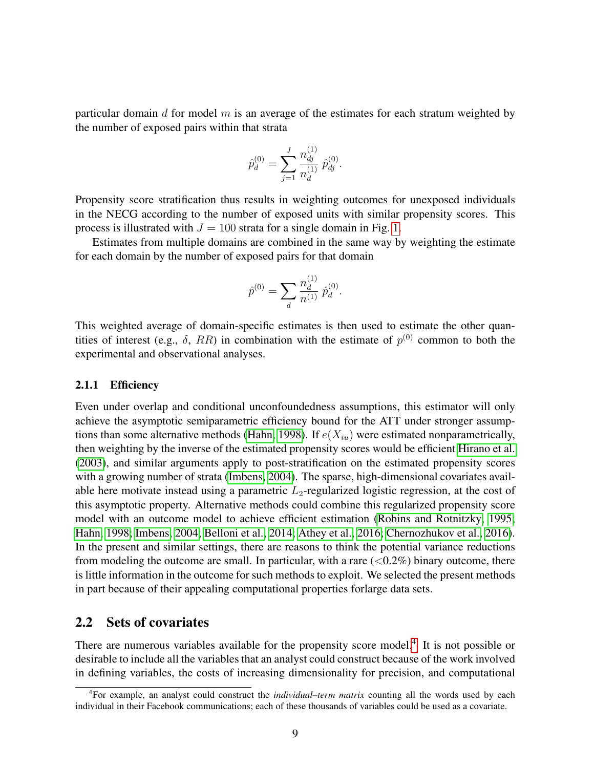particular domain  $d$  for model  $m$  is an average of the estimates for each stratum weighted by the number of exposed pairs within that strata

$$
\hat{p}_d^{(0)} = \sum_{j=1}^J \frac{n_{dj}^{(1)}}{n_d^{(1)}} \, \hat{p}_{dj}^{(0)}.
$$

Propensity score stratification thus results in weighting outcomes for unexposed individuals in the NECG according to the number of exposed units with similar propensity scores. This process is illustrated with  $J = 100$  strata for a single domain in Fig. [1.](#page-12-0)

Estimates from multiple domains are combined in the same way by weighting the estimate for each domain by the number of exposed pairs for that domain

$$
\hat{p}^{(0)} = \sum_{d} \frac{n_d^{(1)}}{n^{(1)}} \,\hat{p}_d^{(0)}.
$$

This weighted average of domain-specific estimates is then used to estimate the other quantities of interest (e.g.,  $\delta$ , RR) in combination with the estimate of  $p^{(0)}$  common to both the experimental and observational analyses.

#### 2.1.1 Efficiency

Even under overlap and conditional unconfoundedness assumptions, this estimator will only achieve the asymptotic semiparametric efficiency bound for the ATT under stronger assump-tions than some alternative methods [\(Hahn, 1998\)](#page-21-12). If  $e(X_{iu})$  were estimated nonparametrically, then weighting by the inverse of the estimated propensity scores would be efficient [Hirano et al.](#page-21-13) [\(2003\)](#page-21-13), and similar arguments apply to post-stratification on the estimated propensity scores with a growing number of strata [\(Imbens, 2004\)](#page-21-10). The sparse, high-dimensional covariates available here motivate instead using a parametric  $L_2$ -regularized logistic regression, at the cost of this asymptotic property. Alternative methods could combine this regularized propensity score model with an outcome model to achieve efficient estimation [\(Robins and Rotnitzky, 1995;](#page-22-13) [Hahn, 1998;](#page-21-12) [Imbens, 2004;](#page-21-10) [Belloni et al., 2014;](#page-19-14) [Athey et al., 2016;](#page-18-12) [Chernozhukov et al., 2016\)](#page-19-15). In the present and similar settings, there are reasons to think the potential variance reductions from modeling the outcome are small. In particular, with a rare  $(<0.2\%)$  binary outcome, there is little information in the outcome for such methods to exploit. We selected the present methods in part because of their appealing computational properties forlarge data sets.

### 2.2 Sets of covariates

There are numerous variables available for the propensity score model.<sup>[4](#page-8-0)</sup> It is not possible or desirable to include all the variables that an analyst could construct because of the work involved in defining variables, the costs of increasing dimensionality for precision, and computational

<span id="page-8-0"></span><sup>4</sup>For example, an analyst could construct the *individual–term matrix* counting all the words used by each individual in their Facebook communications; each of these thousands of variables could be used as a covariate.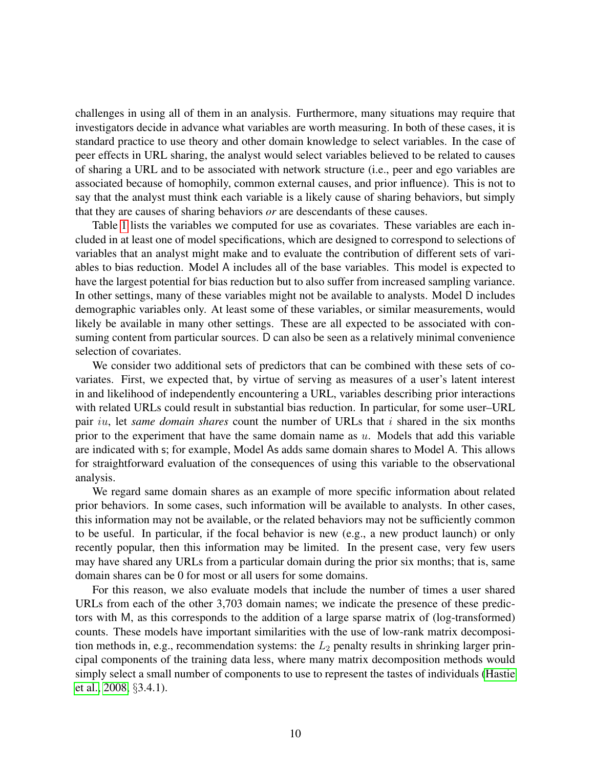challenges in using all of them in an analysis. Furthermore, many situations may require that investigators decide in advance what variables are worth measuring. In both of these cases, it is standard practice to use theory and other domain knowledge to select variables. In the case of peer effects in URL sharing, the analyst would select variables believed to be related to causes of sharing a URL and to be associated with network structure (i.e., peer and ego variables are associated because of homophily, common external causes, and prior influence). This is not to say that the analyst must think each variable is a likely cause of sharing behaviors, but simply that they are causes of sharing behaviors *or* are descendants of these causes.

Table [1](#page-10-0) lists the variables we computed for use as covariates. These variables are each included in at least one of model specifications, which are designed to correspond to selections of variables that an analyst might make and to evaluate the contribution of different sets of variables to bias reduction. Model A includes all of the base variables. This model is expected to have the largest potential for bias reduction but to also suffer from increased sampling variance. In other settings, many of these variables might not be available to analysts. Model D includes demographic variables only. At least some of these variables, or similar measurements, would likely be available in many other settings. These are all expected to be associated with consuming content from particular sources. D can also be seen as a relatively minimal convenience selection of covariates.

We consider two additional sets of predictors that can be combined with these sets of covariates. First, we expected that, by virtue of serving as measures of a user's latent interest in and likelihood of independently encountering a URL, variables describing prior interactions with related URLs could result in substantial bias reduction. In particular, for some user–URL pair iu, let *same domain shares* count the number of URLs that i shared in the six months prior to the experiment that have the same domain name as  $u$ . Models that add this variable are indicated with s; for example, Model As adds same domain shares to Model A. This allows for straightforward evaluation of the consequences of using this variable to the observational analysis.

We regard same domain shares as an example of more specific information about related prior behaviors. In some cases, such information will be available to analysts. In other cases, this information may not be available, or the related behaviors may not be sufficiently common to be useful. In particular, if the focal behavior is new (e.g., a new product launch) or only recently popular, then this information may be limited. In the present case, very few users may have shared any URLs from a particular domain during the prior six months; that is, same domain shares can be 0 for most or all users for some domains.

For this reason, we also evaluate models that include the number of times a user shared URLs from each of the other 3,703 domain names; we indicate the presence of these predictors with M, as this corresponds to the addition of a large sparse matrix of (log-transformed) counts. These models have important similarities with the use of low-rank matrix decomposition methods in, e.g., recommendation systems: the  $L_2$  penalty results in shrinking larger principal components of the training data less, where many matrix decomposition methods would simply select a small number of components to use to represent the tastes of individuals [\(Hastie](#page-21-14) [et al., 2008,](#page-21-14) §3.4.1).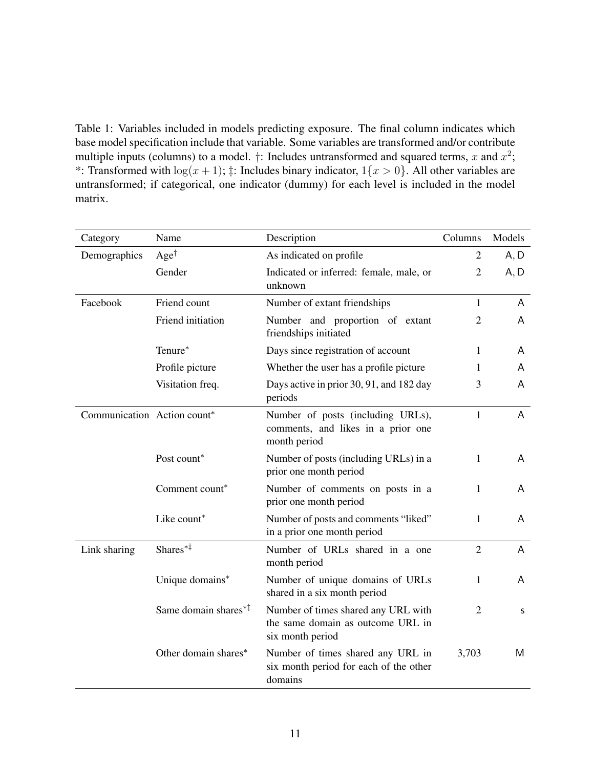<span id="page-10-0"></span>Table 1: Variables included in models predicting exposure. The final column indicates which base model specification include that variable. Some variables are transformed and/or contribute multiple inputs (columns) to a model.  $\dagger$ : Includes untransformed and squared terms, x and  $x^2$ ; \*: Transformed with  $\log(x+1)$ ;  $\ddagger$ : Includes binary indicator,  $1\{x>0\}$ . All other variables are untransformed; if categorical, one indicator (dummy) for each level is included in the model matrix.

| Category                    | Name                                                    | Description                                                                                  | Columns        | Models |
|-----------------------------|---------------------------------------------------------|----------------------------------------------------------------------------------------------|----------------|--------|
| Demographics                | $Age^{\dagger}$                                         | As indicated on profile                                                                      | $\overline{2}$ | A, D   |
|                             | Gender                                                  | Indicated or inferred: female, male, or<br>unknown                                           | $\overline{2}$ | A, D   |
| Facebook                    | Friend count                                            | Number of extant friendships                                                                 | $\mathbf{1}$   | A      |
|                             | Friend initiation                                       | Number and proportion of extant<br>friendships initiated                                     | $\overline{2}$ | A      |
|                             | Tenure*                                                 | Days since registration of account                                                           | 1              | A      |
|                             | Profile picture                                         | Whether the user has a profile picture                                                       | 1              | A      |
|                             | Visitation freq.                                        | Days active in prior 30, 91, and 182 day<br>periods                                          | 3              | A      |
| Communication Action count* |                                                         | Number of posts (including URLs),<br>comments, and likes in a prior one<br>month period      | $\mathbf{1}$   | A      |
|                             | Post count*                                             | Number of posts (including URLs) in a<br>prior one month period                              | 1              | A      |
|                             | Comment count*                                          | Number of comments on posts in a<br>prior one month period                                   | 1              | A      |
|                             | Like count*                                             | Number of posts and comments "liked"<br>in a prior one month period                          | 1              | A      |
| Link sharing                | Shares <sup>*‡</sup>                                    | Number of URLs shared in a one<br>month period                                               | $\overline{2}$ | A      |
|                             | Unique domains*                                         | Number of unique domains of URLs<br>shared in a six month period                             | 1              | A      |
|                             | Same domain shares $*$ <sup><math>\ddagger</math></sup> | Number of times shared any URL with<br>the same domain as outcome URL in<br>six month period | $\overline{2}$ | s      |
|                             | Other domain shares*                                    | Number of times shared any URL in<br>six month period for each of the other<br>domains       | 3,703          | M      |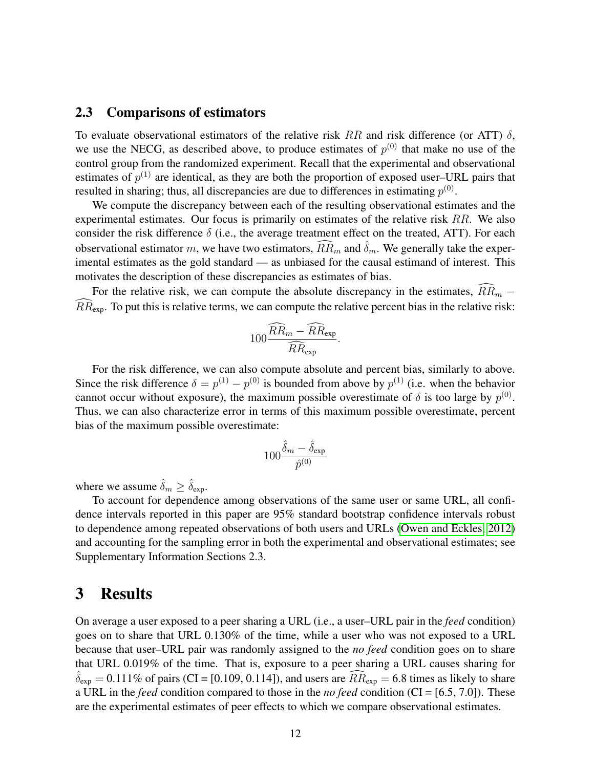### 2.3 Comparisons of estimators

To evaluate observational estimators of the relative risk RR and risk difference (or ATT)  $\delta$ , we use the NECG, as described above, to produce estimates of  $p^{(0)}$  that make no use of the control group from the randomized experiment. Recall that the experimental and observational estimates of  $p^{(1)}$  are identical, as they are both the proportion of exposed user–URL pairs that resulted in sharing; thus, all discrepancies are due to differences in estimating  $p^{(0)}$ .

We compute the discrepancy between each of the resulting observational estimates and the experimental estimates. Our focus is primarily on estimates of the relative risk  $RR$ . We also consider the risk difference  $\delta$  (i.e., the average treatment effect on the treated, ATT). For each observational estimator m, we have two estimators,  $\widehat{R}R_m$  and  $\widehat{\delta}_m$ . We generally take the experimental estimates as the gold standard — as unbiased for the causal estimand of interest. This motivates the description of these discrepancies as estimates of bias.

For the relative risk, we can compute the absolute discrepancy in the estimates,  $\widehat{RR}_m$  –  $RR_{\text{exp}}$ . To put this is relative terms, we can compute the relative percent bias in the relative risk:

$$
100 \frac{\widehat{RR}_m - \widehat{RR}_{\text{exp}}}{\widehat{RR}_{\text{exp}}}.
$$

For the risk difference, we can also compute absolute and percent bias, similarly to above. Since the risk difference  $\delta = p^{(1)} - p^{(0)}$  is bounded from above by  $p^{(1)}$  (i.e. when the behavior cannot occur without exposure), the maximum possible overestimate of  $\delta$  is too large by  $p^{(0)}$ . Thus, we can also characterize error in terms of this maximum possible overestimate, percent bias of the maximum possible overestimate:

$$
100\frac{\hat{\delta}_m-\hat{\delta}_\textrm{exp}}{\hat{p}^{(0)}}
$$

where we assume  $\delta_m \geq \delta_{\text{exp}}$ .

To account for dependence among observations of the same user or same URL, all confidence intervals reported in this paper are 95% standard bootstrap confidence intervals robust to dependence among repeated observations of both users and URLs [\(Owen and Eckles, 2012\)](#page-22-14) and accounting for the sampling error in both the experimental and observational estimates; see Supplementary Information Sections 2.3.

# <span id="page-11-0"></span>3 Results

On average a user exposed to a peer sharing a URL (i.e., a user–URL pair in the *feed* condition) goes on to share that URL 0.130% of the time, while a user who was not exposed to a URL because that user–URL pair was randomly assigned to the *no feed* condition goes on to share that URL 0.019% of the time. That is, exposure to a peer sharing a URL causes sharing for  $\hat{\delta}_{exp} = 0.111\%$  of pairs (CI = [0.109, 0.114]), and users are  $\widehat{RR}_{exp} = 6.8$  times as likely to share a URL in the *feed* condition compared to those in the *no feed* condition (CI = [6.5, 7.0]). These are the experimental estimates of peer effects to which we compare observational estimates.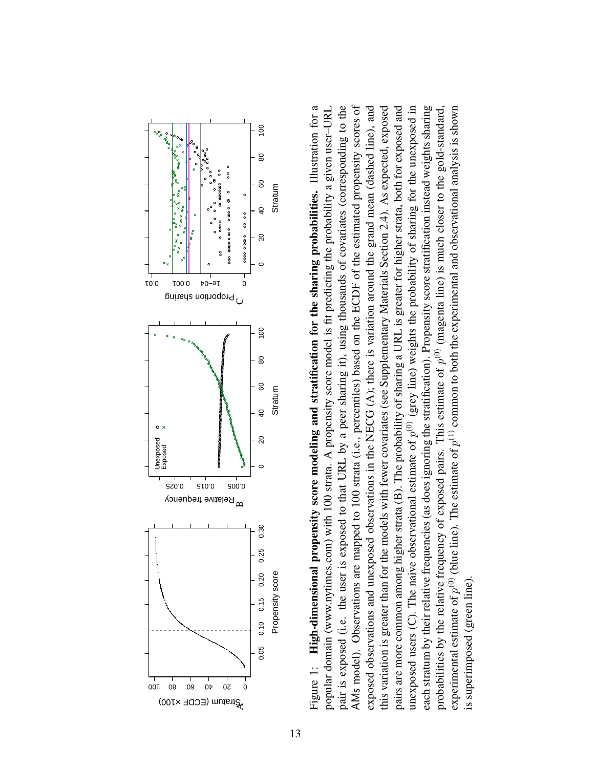<span id="page-12-0"></span>

Figure 1: High-dimensional propensity score modeling and stratification for the sharing probabilities. Illustration for a Figure 1: High-dimensional propensity score modeling and stratification for the sharing probabilities. Illustration for a pair is exposed (i.e. the user is exposed to that URL by a peer sharing it), using thousands of covariates (corresponding to the exposed observations and unexposed observations in the NECG (A); there is variation around the grand mean (dashed line), and pairs are more common among higher strata (B). The probability of sharing a URL is greater for higher strata, both for exposed and unexposed users (C). The naive observational estimate of  $p^{(0)}$  (grey line) weights the probability of sharing for the unexposed in each stratum by their relative frequencies (as does ignoring the stratification). Propensity score stratification instead weights sharing popular domain (www.nytimes.com) with 100 strata. A propensity score model is fit predicting the probability a given user-URL popular domain (www.nytimes.com) with 100 strata. A propensity score model is fit predicting the probability a given user–URL pair is exposed (i.e. the user is exposed to that URL by a peer sharing it), using thousands of covariates (corresponding to the AMs model). Observations are mapped to 100 strata (i.e., percentiles) based on the ECDF of the estimated propensity scores of AMs model). Observations are mapped to 100 strata (i.e., percentiles) based on the ECDF of the estimated propensity scores of exposed observations and unexposed observations in the NECG (A); there is variation around the grand mean (dashed line), and this variation is greater than for the models with fewer covariates (see Supplementary Materials Section 2.4). As expected, exposed this variation is greater than for the models with fewer covariates (see Supplementary Materials Section 2.4). As expected, exposed pairs are more common among higher strata (B). The probability of sharing a URL is greater for higher strata, both for exposed and unexposed users (C). The naive observational estimate of  $p^{(0)}$  (grey line) weights the probability of sharing for the unexposed in each stratum by their relative frequencies (as does ignoring the stratification). Propensity score stratification instead weights sharing experimental estimate of  $p^{(0)}$  (blue line). The estimate of  $p^{(1)}$  common to both the experimental and observational analysis is shown experimental estimate of  $p^{(0)}$  (blue line). The estimate of  $p^{(1)}$  common to both the experimental and observational analysis is shown probabilities by the relative frequency of exposed pairs. This estimate of  $p^{(0)}$  (magenta line) is much closer to the gold-standard, probabilities by the relative frequency of exposed pairs. This estimate of  $p^{(0)}$  (magenta line) is much closer to the gold-standard, is superimposed (green line). is superimposed (green line)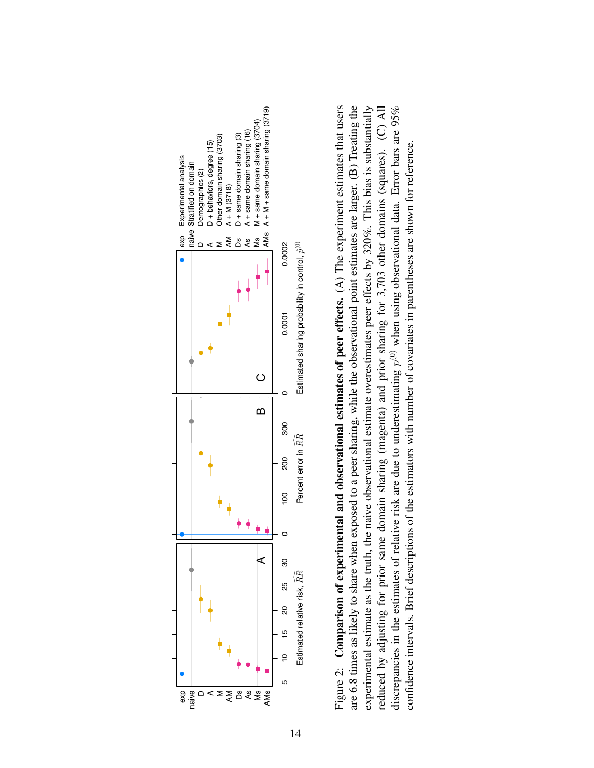<span id="page-13-0"></span>

Figure 2: Comparison of experimental and observational estimates of peer effects.  $(A)$  The experiment estimates that users are 6.8 times as likely to share when exposed to a peer sharing, while the observational point estimates are larger. (B) Treating the experimental estimate as the truth, the naive observational estimate overestimates peer effects by 320%. This bias is substantially discrepancies in the estimates of relative risk are due to underestimating  $p^{(0)}$  when using observational data. Error bars are 95% Figure 2: **Comparison of experimental and observational estimates of peer effects.** (A) The experiment estimates that users are 6.8 times as likely to share when exposed to a peer sharing, while the observational point es reduced by adjusting for prior same domain sharing (magenta) and prior sharing for 3,703 other domains (squares). (C) All confidence intervals. Brief descriptions of the estimators with number of covariates in parentheses are shown for reference Estimated sharing probability in control,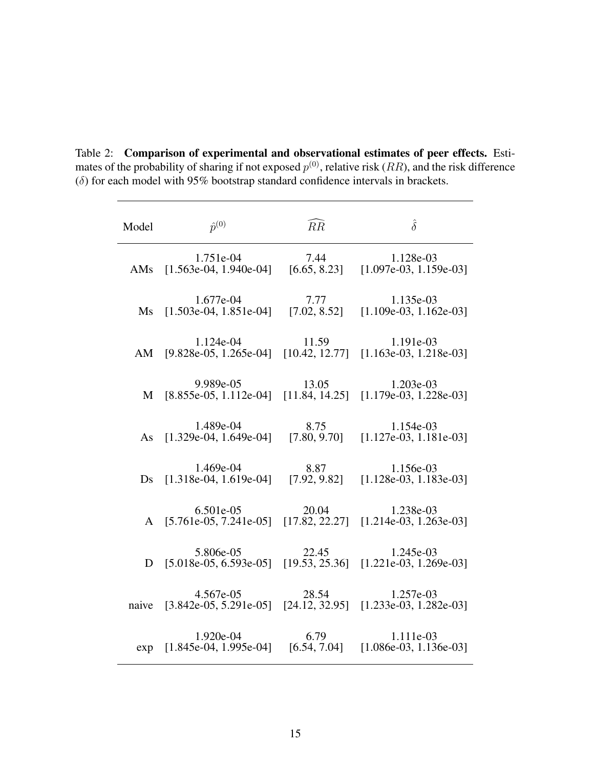| Model | $\hat{p}^{(0)}$                                                                           | $\widehat{RR}$       | $\hat{\delta}$                        |
|-------|-------------------------------------------------------------------------------------------|----------------------|---------------------------------------|
|       | 1.751e-04<br>AMs $[1.563e-04, 1.940e-04]$                                                 | 7.44<br>[6.65, 8.23] | 1.128e-03<br>$[1.097e-03, 1.159e-03]$ |
|       | 1.677e-04 7.77 1.135e-03<br>Ms [1.503e-04, 1.851e-04] [7.02, 8.52] [1.109e-03, 1.162e-03] |                      |                                       |
|       | 1.124e-04<br>AM [9.828e-05, 1.265e-04] [10.42, 12.77] [1.163e-03, 1.218e-03]              | 11.59                | 1.191e-03                             |
|       | 9.989e-05<br>M [8.855e-05, 1.112e-04] [11.84, 14.25] [1.179e-03, 1.228e-03]               | 13.05                | 1.203e-03                             |
|       | 1.489e-04<br>As [1.329e-04, 1.649e-04] [7.80, 9.70]                                       | 8.75                 | 1.154e-03<br>$[1.127e-03, 1.181e-03]$ |
|       | 1.469e-04<br>Ds [1.318e-04, 1.619e-04] [7.92, 9.82] [1.128e-03, 1.183e-03]                | 8.87                 | 1.156e-03                             |
|       | 6.501e-05<br>A [5.761e-05, 7.241e-05] [17.82, 22.27]                                      | 20.04                | 1.238e-03<br>$[1.214e-03, 1.263e-03]$ |
|       | 5.806e-05<br>D [5.018e-05, 6.593e-05] [19.53, 25.36] [1.221e-03, 1.269e-03]               | 22.45                | 1.245e-03                             |
|       | 4.567e-05<br>naive [3.842e-05, 5.291e-05] [24.12, 32.95] [1.233e-03, 1.282e-03]           | 28.54                | 1.257e-03                             |
|       | $1.920e-04$<br>exp [1.845e-04, 1.995e-04] [6.54, 7.04]                                    | 6.79                 | 1.111e-03<br>$[1.086e-03, 1.136e-03]$ |

<span id="page-14-0"></span>Table 2: Comparison of experimental and observational estimates of peer effects. Estimates of the probability of sharing if not exposed  $p^{(0)}$ , relative risk (*RR*), and the risk difference  $(\delta)$  for each model with 95% bootstrap standard confidence intervals in brackets.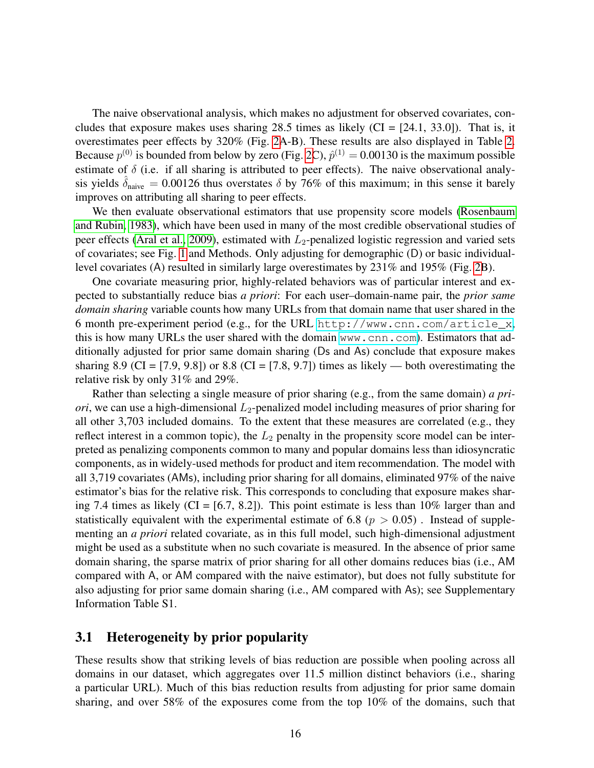The naive observational analysis, which makes no adjustment for observed covariates, concludes that exposure makes uses sharing 28.5 times as likely  $(CI = [24.1, 33.0])$ . That is, it overestimates peer effects by 320% (Fig. [2A](#page-13-0)-B). These results are also displayed in Table [2.](#page-14-0) Because  $p^{(0)}$  is bounded from below by zero (Fig. [2C](#page-13-0)),  $\hat{p}^{(1)} = 0.00130$  is the maximum possible estimate of  $\delta$  (i.e. if all sharing is attributed to peer effects). The naive observational analysis yields  $\hat{\delta}_{\text{naive}} = 0.00126$  thus overstates  $\delta$  by 76% of this maximum; in this sense it barely improves on attributing all sharing to peer effects.

We then evaluate observational estimators that use propensity score models [\(Rosenbaum](#page-22-10) [and Rubin, 1983\)](#page-22-10), which have been used in many of the most credible observational studies of peer effects [\(Aral et al., 2009\)](#page-18-5), estimated with  $L_2$ -penalized logistic regression and varied sets of covariates; see Fig. [1](#page-12-0) and Methods. Only adjusting for demographic (D) or basic individuallevel covariates (A) resulted in similarly large overestimates by 231% and 195% (Fig. [2B](#page-13-0)).

One covariate measuring prior, highly-related behaviors was of particular interest and expected to substantially reduce bias *a priori*: For each user–domain-name pair, the *prior same domain sharing* variable counts how many URLs from that domain name that user shared in the 6 month pre-experiment period (e.g., for the URL [http://www.cnn.com/article\\_x](http://www.cnn.com/article_x), this is how many URLs the user shared with the domain <www.cnn.com>). Estimators that additionally adjusted for prior same domain sharing (Ds and As) conclude that exposure makes sharing 8.9 (CI = [7.9, 9.8]) or 8.8 (CI = [7.8, 9.7]) times as likely — both overestimating the relative risk by only 31% and 29%.

Rather than selecting a single measure of prior sharing (e.g., from the same domain) *a priori*, we can use a high-dimensional  $L_2$ -penalized model including measures of prior sharing for all other 3,703 included domains. To the extent that these measures are correlated (e.g., they reflect interest in a common topic), the  $L_2$  penalty in the propensity score model can be interpreted as penalizing components common to many and popular domains less than idiosyncratic components, as in widely-used methods for product and item recommendation. The model with all 3,719 covariates (AMs), including prior sharing for all domains, eliminated 97% of the naive estimator's bias for the relative risk. This corresponds to concluding that exposure makes sharing 7.4 times as likely (CI =  $[6.7, 8.2]$ ). This point estimate is less than 10% larger than and statistically equivalent with the experimental estimate of 6.8 ( $p > 0.05$ ). Instead of supplementing an *a priori* related covariate, as in this full model, such high-dimensional adjustment might be used as a substitute when no such covariate is measured. In the absence of prior same domain sharing, the sparse matrix of prior sharing for all other domains reduces bias (i.e., AM compared with A, or AM compared with the naive estimator), but does not fully substitute for also adjusting for prior same domain sharing (i.e., AM compared with As); see Supplementary Information Table S1.

### 3.1 Heterogeneity by prior popularity

These results show that striking levels of bias reduction are possible when pooling across all domains in our dataset, which aggregates over 11.5 million distinct behaviors (i.e., sharing a particular URL). Much of this bias reduction results from adjusting for prior same domain sharing, and over 58% of the exposures come from the top 10% of the domains, such that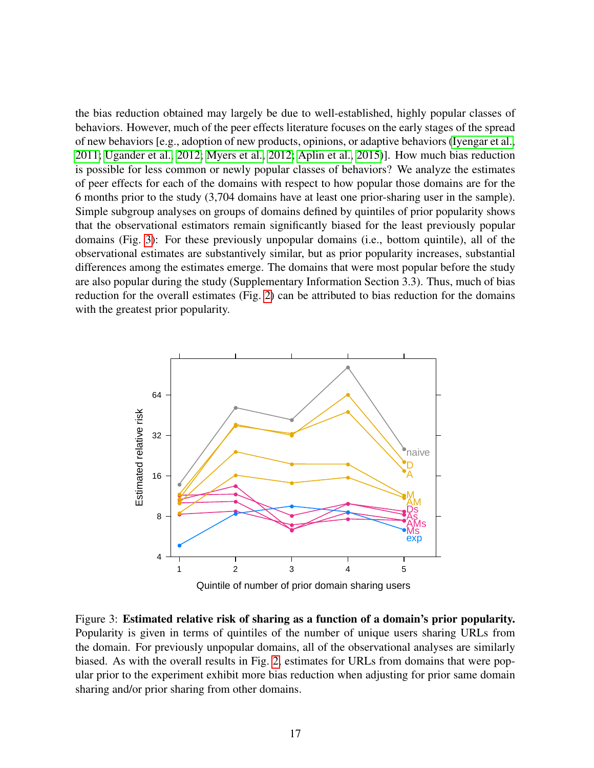the bias reduction obtained may largely be due to well-established, highly popular classes of behaviors. However, much of the peer effects literature focuses on the early stages of the spread of new behaviors [e.g., adoption of new products, opinions, or adaptive behaviors [\(Iyengar et al.,](#page-21-1) [2011;](#page-21-1) [Ugander et al., 2012;](#page-23-5) [Myers et al., 2012;](#page-22-6) [Aplin et al., 2015\)](#page-18-1)]. How much bias reduction is possible for less common or newly popular classes of behaviors? We analyze the estimates of peer effects for each of the domains with respect to how popular those domains are for the 6 months prior to the study (3,704 domains have at least one prior-sharing user in the sample). Simple subgroup analyses on groups of domains defined by quintiles of prior popularity shows that the observational estimators remain significantly biased for the least previously popular domains (Fig. [3\)](#page-16-0): For these previously unpopular domains (i.e., bottom quintile), all of the observational estimates are substantively similar, but as prior popularity increases, substantial differences among the estimates emerge. The domains that were most popular before the study are also popular during the study (Supplementary Information Section 3.3). Thus, much of bias reduction for the overall estimates (Fig. [2\)](#page-13-0) can be attributed to bias reduction for the domains with the greatest prior popularity.



<span id="page-16-0"></span>Figure 3: Estimated relative risk of sharing as a function of a domain's prior popularity. Popularity is given in terms of quintiles of the number of unique users sharing URLs from the domain. For previously unpopular domains, all of the observational analyses are similarly biased. As with the overall results in Fig. [2,](#page-13-0) estimates for URLs from domains that were popular prior to the experiment exhibit more bias reduction when adjusting for prior same domain sharing and/or prior sharing from other domains.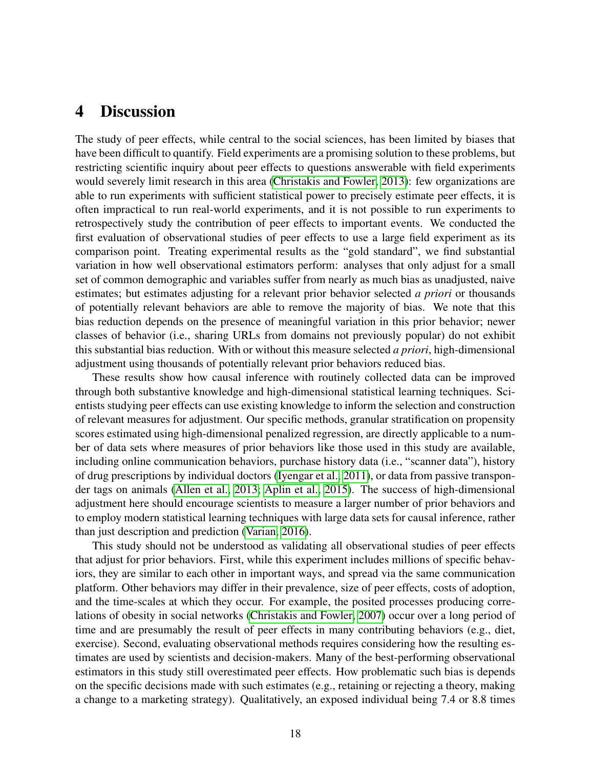# 4 Discussion

The study of peer effects, while central to the social sciences, has been limited by biases that have been difficult to quantify. Field experiments are a promising solution to these problems, but restricting scientific inquiry about peer effects to questions answerable with field experiments would severely limit research in this area [\(Christakis and Fowler, 2013\)](#page-19-8): few organizations are able to run experiments with sufficient statistical power to precisely estimate peer effects, it is often impractical to run real-world experiments, and it is not possible to run experiments to retrospectively study the contribution of peer effects to important events. We conducted the first evaluation of observational studies of peer effects to use a large field experiment as its comparison point. Treating experimental results as the "gold standard", we find substantial variation in how well observational estimators perform: analyses that only adjust for a small set of common demographic and variables suffer from nearly as much bias as unadjusted, naive estimates; but estimates adjusting for a relevant prior behavior selected *a priori* or thousands of potentially relevant behaviors are able to remove the majority of bias. We note that this bias reduction depends on the presence of meaningful variation in this prior behavior; newer classes of behavior (i.e., sharing URLs from domains not previously popular) do not exhibit this substantial bias reduction. With or without this measure selected *a priori*, high-dimensional adjustment using thousands of potentially relevant prior behaviors reduced bias.

These results show how causal inference with routinely collected data can be improved through both substantive knowledge and high-dimensional statistical learning techniques. Scientists studying peer effects can use existing knowledge to inform the selection and construction of relevant measures for adjustment. Our specific methods, granular stratification on propensity scores estimated using high-dimensional penalized regression, are directly applicable to a number of data sets where measures of prior behaviors like those used in this study are available, including online communication behaviors, purchase history data (i.e., "scanner data"), history of drug prescriptions by individual doctors [\(Iyengar et al., 2011\)](#page-21-1), or data from passive transponder tags on animals [\(Allen et al., 2013;](#page-18-7) [Aplin et al., 2015\)](#page-18-1). The success of high-dimensional adjustment here should encourage scientists to measure a larger number of prior behaviors and to employ modern statistical learning techniques with large data sets for causal inference, rather than just description and prediction [\(Varian, 2016\)](#page-23-15).

This study should not be understood as validating all observational studies of peer effects that adjust for prior behaviors. First, while this experiment includes millions of specific behaviors, they are similar to each other in important ways, and spread via the same communication platform. Other behaviors may differ in their prevalence, size of peer effects, costs of adoption, and the time-scales at which they occur. For example, the posited processes producing correlations of obesity in social networks [\(Christakis and Fowler, 2007\)](#page-19-6) occur over a long period of time and are presumably the result of peer effects in many contributing behaviors (e.g., diet, exercise). Second, evaluating observational methods requires considering how the resulting estimates are used by scientists and decision-makers. Many of the best-performing observational estimators in this study still overestimated peer effects. How problematic such bias is depends on the specific decisions made with such estimates (e.g., retaining or rejecting a theory, making a change to a marketing strategy). Qualitatively, an exposed individual being 7.4 or 8.8 times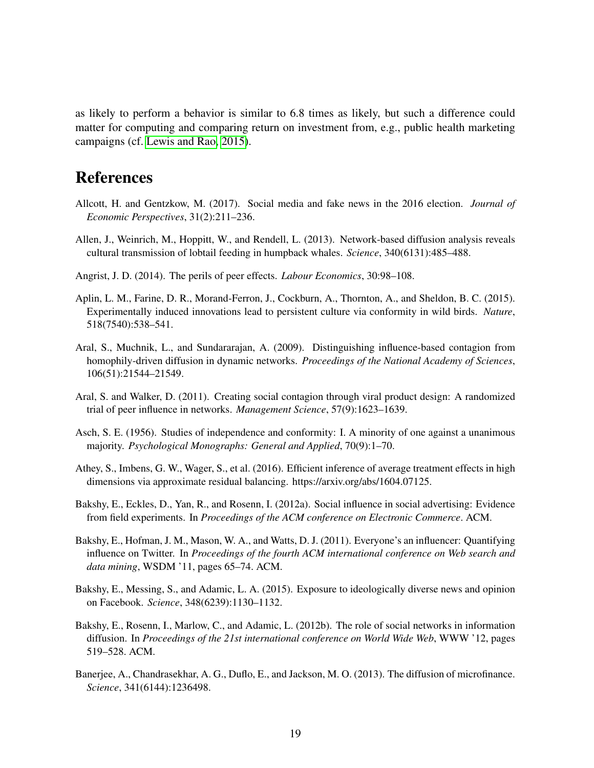as likely to perform a behavior is similar to 6.8 times as likely, but such a difference could matter for computing and comparing return on investment from, e.g., public health marketing campaigns (cf. [Lewis and Rao, 2015\)](#page-22-15).

# References

- <span id="page-18-11"></span>Allcott, H. and Gentzkow, M. (2017). Social media and fake news in the 2016 election. *Journal of Economic Perspectives*, 31(2):211–236.
- <span id="page-18-7"></span>Allen, J., Weinrich, M., Hoppitt, W., and Rendell, L. (2013). Network-based diffusion analysis reveals cultural transmission of lobtail feeding in humpback whales. *Science*, 340(6131):485–488.
- <span id="page-18-8"></span>Angrist, J. D. (2014). The perils of peer effects. *Labour Economics*, 30:98–108.
- <span id="page-18-1"></span>Aplin, L. M., Farine, D. R., Morand-Ferron, J., Cockburn, A., Thornton, A., and Sheldon, B. C. (2015). Experimentally induced innovations lead to persistent culture via conformity in wild birds. *Nature*, 518(7540):538–541.
- <span id="page-18-5"></span>Aral, S., Muchnik, L., and Sundararajan, A. (2009). Distinguishing influence-based contagion from homophily-driven diffusion in dynamic networks. *Proceedings of the National Academy of Sciences*, 106(51):21544–21549.
- <span id="page-18-3"></span>Aral, S. and Walker, D. (2011). Creating social contagion through viral product design: A randomized trial of peer influence in networks. *Management Science*, 57(9):1623–1639.
- <span id="page-18-0"></span>Asch, S. E. (1956). Studies of independence and conformity: I. A minority of one against a unanimous majority. *Psychological Monographs: General and Applied*, 70(9):1–70.
- <span id="page-18-12"></span>Athey, S., Imbens, G. W., Wager, S., et al. (2016). Efficient inference of average treatment effects in high dimensions via approximate residual balancing. https://arxiv.org/abs/1604.07125.
- <span id="page-18-4"></span>Bakshy, E., Eckles, D., Yan, R., and Rosenn, I. (2012a). Social influence in social advertising: Evidence from field experiments. In *Proceedings of the ACM conference on Electronic Commerce*. ACM.
- <span id="page-18-6"></span>Bakshy, E., Hofman, J. M., Mason, W. A., and Watts, D. J. (2011). Everyone's an influencer: Quantifying influence on Twitter. In *Proceedings of the fourth ACM international conference on Web search and data mining*, WSDM '11, pages 65–74. ACM.
- <span id="page-18-10"></span>Bakshy, E., Messing, S., and Adamic, L. A. (2015). Exposure to ideologically diverse news and opinion on Facebook. *Science*, 348(6239):1130–1132.
- <span id="page-18-9"></span>Bakshy, E., Rosenn, I., Marlow, C., and Adamic, L. (2012b). The role of social networks in information diffusion. In *Proceedings of the 21st international conference on World Wide Web*, WWW '12, pages 519–528. ACM.
- <span id="page-18-2"></span>Banerjee, A., Chandrasekhar, A. G., Duflo, E., and Jackson, M. O. (2013). The diffusion of microfinance. *Science*, 341(6144):1236498.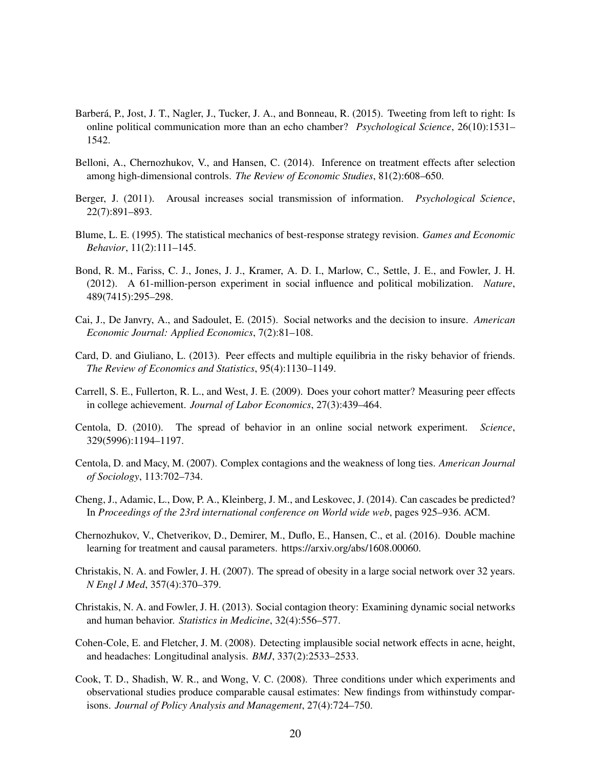- <span id="page-19-11"></span>Barberá, P., Jost, J. T., Nagler, J., Tucker, J. A., and Bonneau, R. (2015). Tweeting from left to right: Is online political communication more than an echo chamber? *Psychological Science*, 26(10):1531– 1542.
- <span id="page-19-14"></span>Belloni, A., Chernozhukov, V., and Hansen, C. (2014). Inference on treatment effects after selection among high-dimensional controls. *The Review of Economic Studies*, 81(2):608–650.
- <span id="page-19-9"></span>Berger, J. (2011). Arousal increases social transmission of information. *Psychological Science*, 22(7):891–893.
- <span id="page-19-0"></span>Blume, L. E. (1995). The statistical mechanics of best-response strategy revision. *Games and Economic Behavior*, 11(2):111–145.
- <span id="page-19-4"></span>Bond, R. M., Fariss, C. J., Jones, J. J., Kramer, A. D. I., Marlow, C., Settle, J. E., and Fowler, J. H. (2012). A 61-million-person experiment in social influence and political mobilization. *Nature*, 489(7415):295–298.
- <span id="page-19-5"></span>Cai, J., De Janvry, A., and Sadoulet, E. (2015). Social networks and the decision to insure. *American Economic Journal: Applied Economics*, 7(2):81–108.
- <span id="page-19-7"></span>Card, D. and Giuliano, L. (2013). Peer effects and multiple equilibria in the risky behavior of friends. *The Review of Economics and Statistics*, 95(4):1130–1149.
- <span id="page-19-2"></span>Carrell, S. E., Fullerton, R. L., and West, J. E. (2009). Does your cohort matter? Measuring peer effects in college achievement. *Journal of Labor Economics*, 27(3):439–464.
- <span id="page-19-3"></span>Centola, D. (2010). The spread of behavior in an online social network experiment. *Science*, 329(5996):1194–1197.
- <span id="page-19-1"></span>Centola, D. and Macy, M. (2007). Complex contagions and the weakness of long ties. *American Journal of Sociology*, 113:702–734.
- <span id="page-19-10"></span>Cheng, J., Adamic, L., Dow, P. A., Kleinberg, J. M., and Leskovec, J. (2014). Can cascades be predicted? In *Proceedings of the 23rd international conference on World wide web*, pages 925–936. ACM.
- <span id="page-19-15"></span>Chernozhukov, V., Chetverikov, D., Demirer, M., Duflo, E., Hansen, C., et al. (2016). Double machine learning for treatment and causal parameters. https://arxiv.org/abs/1608.00060.
- <span id="page-19-6"></span>Christakis, N. A. and Fowler, J. H. (2007). The spread of obesity in a large social network over 32 years. *N Engl J Med*, 357(4):370–379.
- <span id="page-19-8"></span>Christakis, N. A. and Fowler, J. H. (2013). Social contagion theory: Examining dynamic social networks and human behavior. *Statistics in Medicine*, 32(4):556–577.
- <span id="page-19-12"></span>Cohen-Cole, E. and Fletcher, J. M. (2008). Detecting implausible social network effects in acne, height, and headaches: Longitudinal analysis. *BMJ*, 337(2):2533–2533.
- <span id="page-19-13"></span>Cook, T. D., Shadish, W. R., and Wong, V. C. (2008). Three conditions under which experiments and observational studies produce comparable causal estimates: New findings from withinstudy comparisons. *Journal of Policy Analysis and Management*, 27(4):724–750.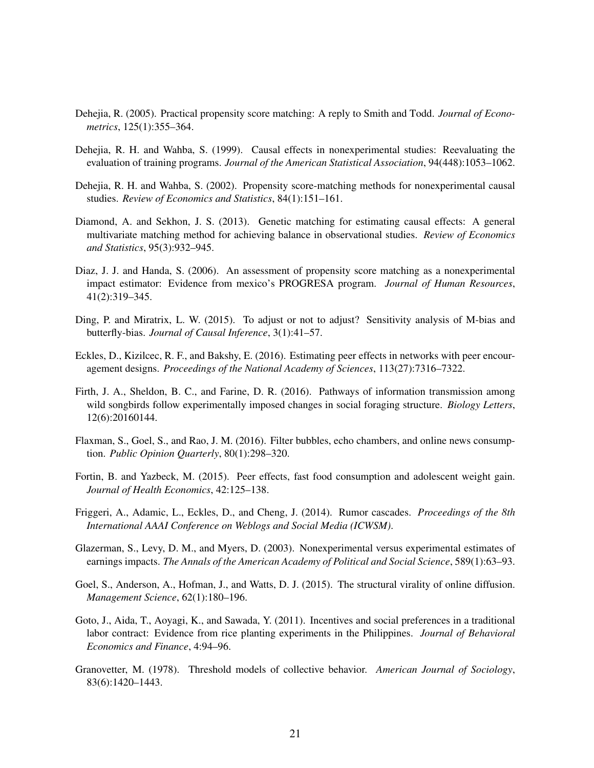- <span id="page-20-13"></span>Dehejia, R. (2005). Practical propensity score matching: A reply to Smith and Todd. *Journal of Econometrics*, 125(1):355–364.
- <span id="page-20-5"></span>Dehejia, R. H. and Wahba, S. (1999). Causal effects in nonexperimental studies: Reevaluating the evaluation of training programs. *Journal of the American Statistical Association*, 94(448):1053–1062.
- <span id="page-20-6"></span>Dehejia, R. H. and Wahba, S. (2002). Propensity score-matching methods for nonexperimental causal studies. *Review of Economics and Statistics*, 84(1):151–161.
- <span id="page-20-14"></span>Diamond, A. and Sekhon, J. S. (2013). Genetic matching for estimating causal effects: A general multivariate matching method for achieving balance in observational studies. *Review of Economics and Statistics*, 95(3):932–945.
- <span id="page-20-9"></span>Diaz, J. J. and Handa, S. (2006). An assessment of propensity score matching as a nonexperimental impact estimator: Evidence from mexico's PROGRESA program. *Journal of Human Resources*, 41(2):319–345.
- <span id="page-20-10"></span>Ding, P. and Miratrix, L. W. (2015). To adjust or not to adjust? Sensitivity analysis of M-bias and butterfly-bias. *Journal of Causal Inference*, 3(1):41–57.
- <span id="page-20-2"></span>Eckles, D., Kizilcec, R. F., and Bakshy, E. (2016). Estimating peer effects in networks with peer encouragement designs. *Proceedings of the National Academy of Sciences*, 113(27):7316–7322.
- <span id="page-20-1"></span>Firth, J. A., Sheldon, B. C., and Farine, D. R. (2016). Pathways of information transmission among wild songbirds follow experimentally imposed changes in social foraging structure. *Biology Letters*, 12(6):20160144.
- <span id="page-20-7"></span>Flaxman, S., Goel, S., and Rao, J. M. (2016). Filter bubbles, echo chambers, and online news consumption. *Public Opinion Quarterly*, 80(1):298–320.
- <span id="page-20-4"></span>Fortin, B. and Yazbeck, M. (2015). Peer effects, fast food consumption and adolescent weight gain. *Journal of Health Economics*, 42:125–138.
- <span id="page-20-3"></span>Friggeri, A., Adamic, L., Eckles, D., and Cheng, J. (2014). Rumor cascades. *Proceedings of the 8th International AAAI Conference on Weblogs and Social Media (ICWSM)*.
- <span id="page-20-11"></span>Glazerman, S., Levy, D. M., and Myers, D. (2003). Nonexperimental versus experimental estimates of earnings impacts. *The Annals of the American Academy of Political and Social Science*, 589(1):63–93.
- <span id="page-20-8"></span>Goel, S., Anderson, A., Hofman, J., and Watts, D. J. (2015). The structural virality of online diffusion. *Management Science*, 62(1):180–196.
- <span id="page-20-12"></span>Goto, J., Aida, T., Aoyagi, K., and Sawada, Y. (2011). Incentives and social preferences in a traditional labor contract: Evidence from rice planting experiments in the Philippines. *Journal of Behavioral Economics and Finance*, 4:94–96.
- <span id="page-20-0"></span>Granovetter, M. (1978). Threshold models of collective behavior. *American Journal of Sociology*, 83(6):1420–1443.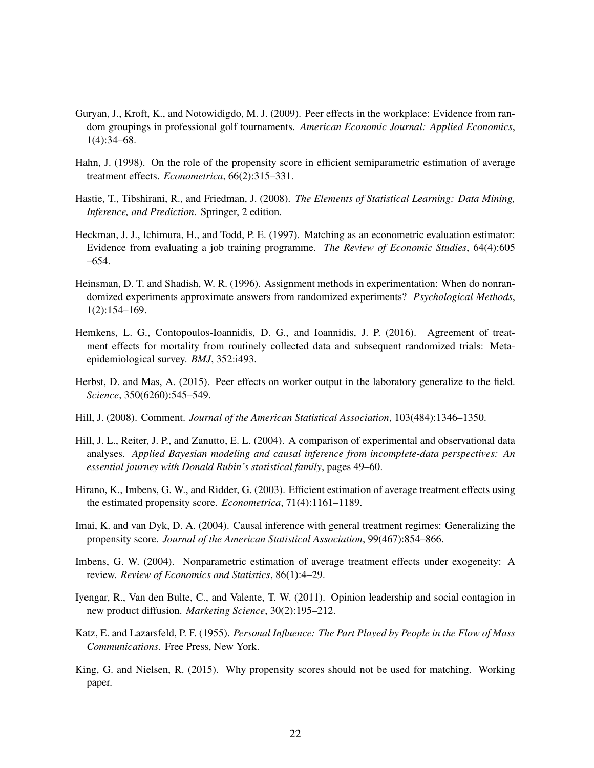- <span id="page-21-9"></span>Guryan, J., Kroft, K., and Notowidigdo, M. J. (2009). Peer effects in the workplace: Evidence from random groupings in professional golf tournaments. *American Economic Journal: Applied Economics*, 1(4):34–68.
- <span id="page-21-12"></span>Hahn, J. (1998). On the role of the propensity score in efficient semiparametric estimation of average treatment effects. *Econometrica*, 66(2):315–331.
- <span id="page-21-14"></span>Hastie, T., Tibshirani, R., and Friedman, J. (2008). *The Elements of Statistical Learning: Data Mining, Inference, and Prediction*. Springer, 2 edition.
- <span id="page-21-4"></span>Heckman, J. J., Ichimura, H., and Todd, P. E. (1997). Matching as an econometric evaluation estimator: Evidence from evaluating a job training programme. *The Review of Economic Studies*, 64(4):605 –654.
- <span id="page-21-8"></span>Heinsman, D. T. and Shadish, W. R. (1996). Assignment methods in experimentation: When do nonrandomized experiments approximate answers from randomized experiments? *Psychological Methods*, 1(2):154–169.
- <span id="page-21-6"></span>Hemkens, L. G., Contopoulos-Ioannidis, D. G., and Ioannidis, J. P. (2016). Agreement of treatment effects for mortality from routinely collected data and subsequent randomized trials: Metaepidemiological survey. *BMJ*, 352:i493.
- <span id="page-21-0"></span>Herbst, D. and Mas, A. (2015). Peer effects on worker output in the laboratory generalize to the field. *Science*, 350(6260):545–549.
- <span id="page-21-7"></span>Hill, J. (2008). Comment. *Journal of the American Statistical Association*, 103(484):1346–1350.
- <span id="page-21-2"></span>Hill, J. L., Reiter, J. P., and Zanutto, E. L. (2004). A comparison of experimental and observational data analyses. *Applied Bayesian modeling and causal inference from incomplete-data perspectives: An essential journey with Donald Rubin's statistical family*, pages 49–60.
- <span id="page-21-13"></span>Hirano, K., Imbens, G. W., and Ridder, G. (2003). Efficient estimation of average treatment effects using the estimated propensity score. *Econometrica*, 71(4):1161–1189.
- <span id="page-21-5"></span>Imai, K. and van Dyk, D. A. (2004). Causal inference with general treatment regimes: Generalizing the propensity score. *Journal of the American Statistical Association*, 99(467):854–866.
- <span id="page-21-10"></span>Imbens, G. W. (2004). Nonparametric estimation of average treatment effects under exogeneity: A review. *Review of Economics and Statistics*, 86(1):4–29.
- <span id="page-21-1"></span>Iyengar, R., Van den Bulte, C., and Valente, T. W. (2011). Opinion leadership and social contagion in new product diffusion. *Marketing Science*, 30(2):195–212.
- <span id="page-21-3"></span>Katz, E. and Lazarsfeld, P. F. (1955). *Personal Influence: The Part Played by People in the Flow of Mass Communications*. Free Press, New York.
- <span id="page-21-11"></span>King, G. and Nielsen, R. (2015). Why propensity scores should not be used for matching. Working paper.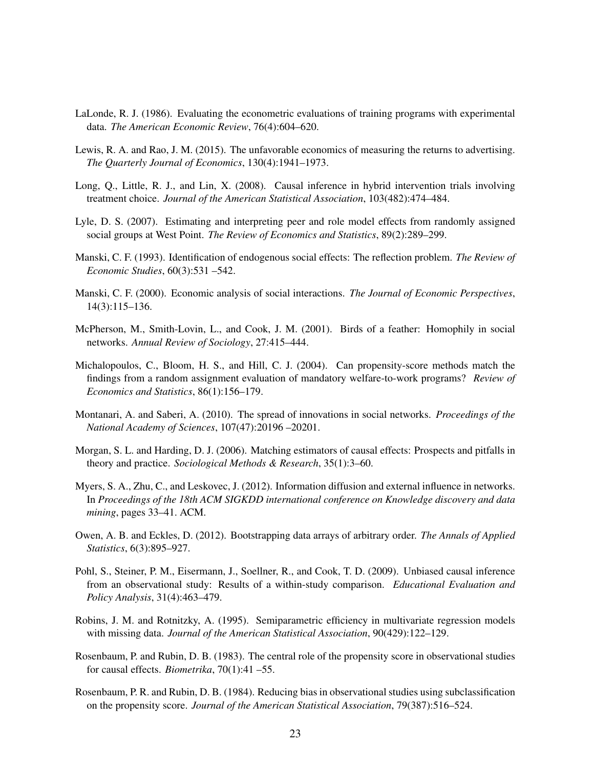- <span id="page-22-5"></span>LaLonde, R. J. (1986). Evaluating the econometric evaluations of training programs with experimental data. *The American Economic Review*, 76(4):604–620.
- <span id="page-22-15"></span>Lewis, R. A. and Rao, J. M. (2015). The unfavorable economics of measuring the returns to advertising. *The Quarterly Journal of Economics*, 130(4):1941–1973.
- <span id="page-22-9"></span>Long, Q., Little, R. J., and Lin, X. (2008). Causal inference in hybrid intervention trials involving treatment choice. *Journal of the American Statistical Association*, 103(482):474–484.
- <span id="page-22-2"></span>Lyle, D. S. (2007). Estimating and interpreting peer and role model effects from randomly assigned social groups at West Point. *The Review of Economics and Statistics*, 89(2):289–299.
- <span id="page-22-4"></span>Manski, C. F. (1993). Identification of endogenous social effects: The reflection problem. *The Review of Economic Studies*, 60(3):531 –542.
- <span id="page-22-0"></span>Manski, C. F. (2000). Economic analysis of social interactions. *The Journal of Economic Perspectives*, 14(3):115–136.
- <span id="page-22-3"></span>McPherson, M., Smith-Lovin, L., and Cook, J. M. (2001). Birds of a feather: Homophily in social networks. *Annual Review of Sociology*, 27:415–444.
- <span id="page-22-7"></span>Michalopoulos, C., Bloom, H. S., and Hill, C. J. (2004). Can propensity-score methods match the findings from a random assignment evaluation of mandatory welfare-to-work programs? *Review of Economics and Statistics*, 86(1):156–179.
- <span id="page-22-1"></span>Montanari, A. and Saberi, A. (2010). The spread of innovations in social networks. *Proceedings of the National Academy of Sciences*, 107(47):20196 –20201.
- <span id="page-22-12"></span>Morgan, S. L. and Harding, D. J. (2006). Matching estimators of causal effects: Prospects and pitfalls in theory and practice. *Sociological Methods & Research*, 35(1):3–60.
- <span id="page-22-6"></span>Myers, S. A., Zhu, C., and Leskovec, J. (2012). Information diffusion and external influence in networks. In *Proceedings of the 18th ACM SIGKDD international conference on Knowledge discovery and data mining*, pages 33–41. ACM.
- <span id="page-22-14"></span>Owen, A. B. and Eckles, D. (2012). Bootstrapping data arrays of arbitrary order. *The Annals of Applied Statistics*, 6(3):895–927.
- <span id="page-22-8"></span>Pohl, S., Steiner, P. M., Eisermann, J., Soellner, R., and Cook, T. D. (2009). Unbiased causal inference from an observational study: Results of a within-study comparison. *Educational Evaluation and Policy Analysis*, 31(4):463–479.
- <span id="page-22-13"></span>Robins, J. M. and Rotnitzky, A. (1995). Semiparametric efficiency in multivariate regression models with missing data. *Journal of the American Statistical Association*, 90(429):122–129.
- <span id="page-22-10"></span>Rosenbaum, P. and Rubin, D. B. (1983). The central role of the propensity score in observational studies for causal effects. *Biometrika*, 70(1):41 –55.
- <span id="page-22-11"></span>Rosenbaum, P. R. and Rubin, D. B. (1984). Reducing bias in observational studies using subclassification on the propensity score. *Journal of the American Statistical Association*, 79(387):516–524.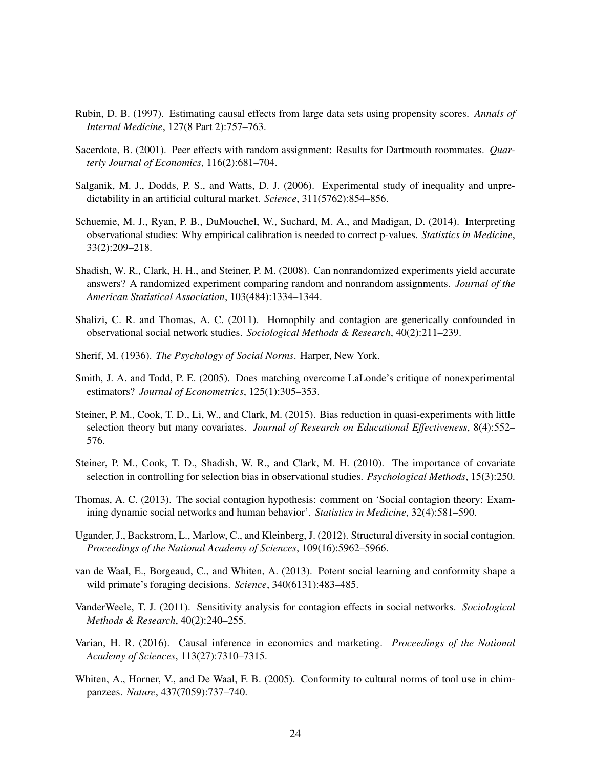- <span id="page-23-14"></span>Rubin, D. B. (1997). Estimating causal effects from large data sets using propensity scores. *Annals of Internal Medicine*, 127(8 Part 2):757–763.
- <span id="page-23-2"></span>Sacerdote, B. (2001). Peer effects with random assignment: Results for Dartmouth roommates. *Quarterly Journal of Economics*, 116(2):681–704.
- <span id="page-23-4"></span>Salganik, M. J., Dodds, P. S., and Watts, D. J. (2006). Experimental study of inequality and unpredictability in an artificial cultural market. *Science*, 311(5762):854–856.
- <span id="page-23-11"></span>Schuemie, M. J., Ryan, P. B., DuMouchel, W., Suchard, M. A., and Madigan, D. (2014). Interpreting observational studies: Why empirical calibration is needed to correct p-values. *Statistics in Medicine*, 33(2):209–218.
- <span id="page-23-9"></span>Shadish, W. R., Clark, H. H., and Steiner, P. M. (2008). Can nonrandomized experiments yield accurate answers? A randomized experiment comparing random and nonrandom assignments. *Journal of the American Statistical Association*, 103(484):1334–1344.
- <span id="page-23-6"></span>Shalizi, C. R. and Thomas, A. C. (2011). Homophily and contagion are generically confounded in observational social network studies. *Sociological Methods & Research*, 40(2):211–239.
- <span id="page-23-0"></span>Sherif, M. (1936). *The Psychology of Social Norms*. Harper, New York.
- <span id="page-23-12"></span>Smith, J. A. and Todd, P. E. (2005). Does matching overcome LaLonde's critique of nonexperimental estimators? *Journal of Econometrics*, 125(1):305–353.
- <span id="page-23-10"></span>Steiner, P. M., Cook, T. D., Li, W., and Clark, M. (2015). Bias reduction in quasi-experiments with little selection theory but many covariates. *Journal of Research on Educational Effectiveness*, 8(4):552– 576.
- <span id="page-23-13"></span>Steiner, P. M., Cook, T. D., Shadish, W. R., and Clark, M. H. (2010). The importance of covariate selection in controlling for selection bias in observational studies. *Psychological Methods*, 15(3):250.
- <span id="page-23-8"></span>Thomas, A. C. (2013). The social contagion hypothesis: comment on 'Social contagion theory: Examining dynamic social networks and human behavior'. *Statistics in Medicine*, 32(4):581–590.
- <span id="page-23-5"></span>Ugander, J., Backstrom, L., Marlow, C., and Kleinberg, J. (2012). Structural diversity in social contagion. *Proceedings of the National Academy of Sciences*, 109(16):5962–5966.
- <span id="page-23-3"></span>van de Waal, E., Borgeaud, C., and Whiten, A. (2013). Potent social learning and conformity shape a wild primate's foraging decisions. *Science*, 340(6131):483–485.
- <span id="page-23-7"></span>VanderWeele, T. J. (2011). Sensitivity analysis for contagion effects in social networks. *Sociological Methods & Research*, 40(2):240–255.
- <span id="page-23-15"></span>Varian, H. R. (2016). Causal inference in economics and marketing. *Proceedings of the National Academy of Sciences*, 113(27):7310–7315.
- <span id="page-23-1"></span>Whiten, A., Horner, V., and De Waal, F. B. (2005). Conformity to cultural norms of tool use in chimpanzees. *Nature*, 437(7059):737–740.